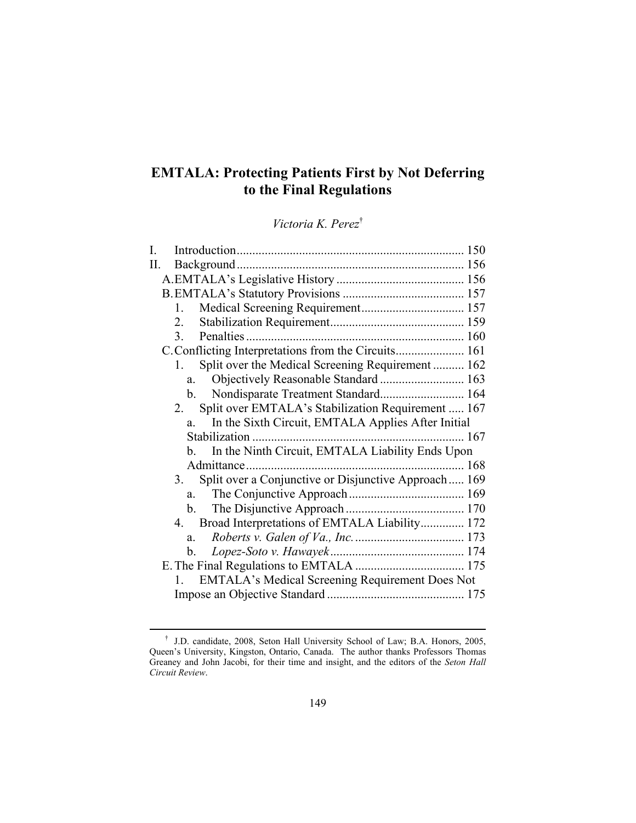# **EMTALA: Protecting Patients First by Not Deferring to the Final Regulations**

*Victoria K. Perez*†

| I.  |                                                                |  |
|-----|----------------------------------------------------------------|--|
| II. |                                                                |  |
|     |                                                                |  |
|     |                                                                |  |
|     | $1_{-}$                                                        |  |
|     | 2.                                                             |  |
|     |                                                                |  |
|     |                                                                |  |
|     | Split over the Medical Screening Requirement  162<br>$1 \quad$ |  |
|     | Objectively Reasonable Standard  163<br>$a_{\ldots}$           |  |
|     | Nondisparate Treatment Standard 164<br>b.                      |  |
|     | Split over EMTALA's Stabilization Requirement  167<br>2.       |  |
|     | In the Sixth Circuit, EMTALA Applies After Initial<br>a.       |  |
|     |                                                                |  |
|     | In the Ninth Circuit, EMTALA Liability Ends Upon<br>b.         |  |
|     |                                                                |  |
|     | 3. Split over a Conjunctive or Disjunctive Approach 169        |  |
|     |                                                                |  |
|     |                                                                |  |
|     | 4. Broad Interpretations of EMTALA Liability 172               |  |
|     | $a_{-}$                                                        |  |
|     | b.                                                             |  |
|     |                                                                |  |
|     | 1. EMTALA's Medical Screening Requirement Does Not             |  |
|     |                                                                |  |

 <sup>†</sup> J.D. candidate, 2008, Seton Hall University School of Law; B.A. Honors, 2005, Queen's University, Kingston, Ontario, Canada. The author thanks Professors Thomas Greaney and John Jacobi, for their time and insight, and the editors of the *Seton Hall Circuit Review*.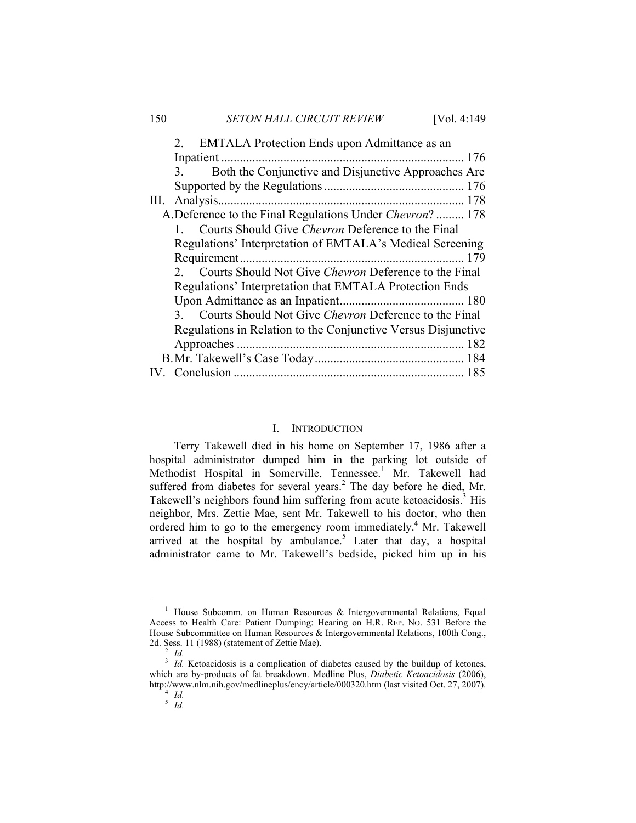|    | 2. EMTALA Protection Ends upon Admittance as an               |
|----|---------------------------------------------------------------|
|    |                                                               |
|    | Both the Conjunctive and Disjunctive Approaches Are<br>3.     |
|    |                                                               |
| Ш. | Analysis.                                                     |
|    | A.Deference to the Final Regulations Under Chevron? 178       |
|    | Courts Should Give Chevron Deference to the Final             |
|    | Regulations' Interpretation of EMTALA's Medical Screening     |
|    |                                                               |
|    | 2. Courts Should Not Give Chevron Deference to the Final      |
|    | Regulations' Interpretation that EMTALA Protection Ends       |
|    |                                                               |
|    | 3. Courts Should Not Give Chevron Deference to the Final      |
|    | Regulations in Relation to the Conjunctive Versus Disjunctive |
|    |                                                               |
|    |                                                               |
|    |                                                               |
|    |                                                               |

# I. INTRODUCTION

Terry Takewell died in his home on September 17, 1986 after a hospital administrator dumped him in the parking lot outside of Methodist Hospital in Somerville, Tennessee.<sup>1</sup> Mr. Takewell had suffered from diabetes for several years. $<sup>2</sup>$  The day before he died, Mr.</sup> Takewell's neighbors found him suffering from acute ketoacidosis.<sup>3</sup> His neighbor, Mrs. Zettie Mae, sent Mr. Takewell to his doctor, who then ordered him to go to the emergency room immediately.<sup>4</sup> Mr. Takewell arrived at the hospital by ambulance.<sup>5</sup> Later that day, a hospital administrator came to Mr. Takewell's bedside, picked him up in his

 $\frac{1}{1}$ <sup>1</sup> House Subcomm. on Human Resources  $\&$  Intergovernmental Relations, Equal Access to Health Care: Patient Dumping: Hearing on H.R. REP. NO. 531 Before the House Subcommittee on Human Resources & Intergovernmental Relations, 100th Cong., 2d. Sess. 11 (1988) (statement of Zettie Mae).

*Id.*

<sup>&</sup>lt;sup>3</sup> *Id.* Ketoacidosis is a complication of diabetes caused by the buildup of ketones, which are by-products of fat breakdown. Medline Plus, *Diabetic Ketoacidosis* (2006), http://www.nlm.nih.gov/medlineplus/ency/article/000320.htm (last visited Oct. 27, 2007).  *Id.*

<sup>5</sup>  *Id.*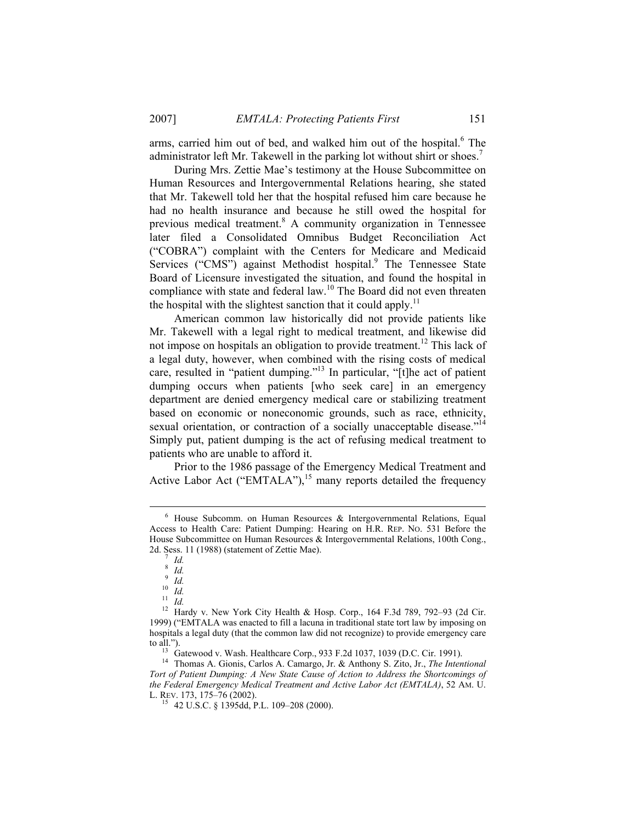arms, carried him out of bed, and walked him out of the hospital.<sup>6</sup> The administrator left Mr. Takewell in the parking lot without shirt or shoes.<sup>7</sup>

During Mrs. Zettie Mae's testimony at the House Subcommittee on Human Resources and Intergovernmental Relations hearing, she stated that Mr. Takewell told her that the hospital refused him care because he had no health insurance and because he still owed the hospital for previous medical treatment.<sup>8</sup> A community organization in Tennessee later filed a Consolidated Omnibus Budget Reconciliation Act ("COBRA") complaint with the Centers for Medicare and Medicaid Services ("CMS") against Methodist hospital.<sup>9</sup> The Tennessee State Board of Licensure investigated the situation, and found the hospital in compliance with state and federal law.<sup>10</sup> The Board did not even threaten the hospital with the slightest sanction that it could apply.<sup>11</sup>

American common law historically did not provide patients like Mr. Takewell with a legal right to medical treatment, and likewise did not impose on hospitals an obligation to provide treatment.<sup>12</sup> This lack of a legal duty, however, when combined with the rising costs of medical care, resulted in "patient dumping."13 In particular, "[t]he act of patient dumping occurs when patients [who seek care] in an emergency department are denied emergency medical care or stabilizing treatment based on economic or noneconomic grounds, such as race, ethnicity, sexual orientation, or contraction of a socially unacceptable disease."<sup>14</sup> Simply put, patient dumping is the act of refusing medical treatment to patients who are unable to afford it.

Prior to the 1986 passage of the Emergency Medical Treatment and Active Labor Act ("EMTALA"),  $15$  many reports detailed the frequency

 $\overline{\phantom{0}}$  $6$  House Subcomm. on Human Resources & Intergovernmental Relations, Equal Access to Health Care: Patient Dumping: Hearing on H.R. REP. NO. 531 Before the House Subcommittee on Human Resources & Intergovernmental Relations, 100th Cong., 2d. Sess. 11 (1988) (statement of Zettie Mae).

*Id.*  8

*Id.*

 $\overline{\phantom{a}}^{9}$  *Id.* 

 $\int_{10}^{10} \frac{Id}{Id}$ .

<sup>&</sup>lt;sup>12</sup> Hardy v. New York City Health & Hosp. Corp., 164 F.3d 789, 792–93 (2d Cir. 1999) ("EMTALA was enacted to fill a lacuna in traditional state tort law by imposing on hospitals a legal duty (that the common law did not recognize) to provide emergency care to all.").

<sup>&</sup>lt;sup>13</sup> Gatewood v. Wash. Healthcare Corp., 933 F.2d 1037, 1039 (D.C. Cir. 1991).<br><sup>14</sup> Thomas A. Gionis, Carlos A. Camargo, Jr. & Anthony S. Zito, Jr., *The Intentional Tort of Patient Dumping: A New State Cause of Action to Address the Shortcomings of the Federal Emergency Medical Treatment and Active Labor Act (EMTALA)*, 52 AM. U.

<sup>&</sup>lt;sup>15</sup> 42 U.S.C. § 1395dd, P.L. 109–208 (2000).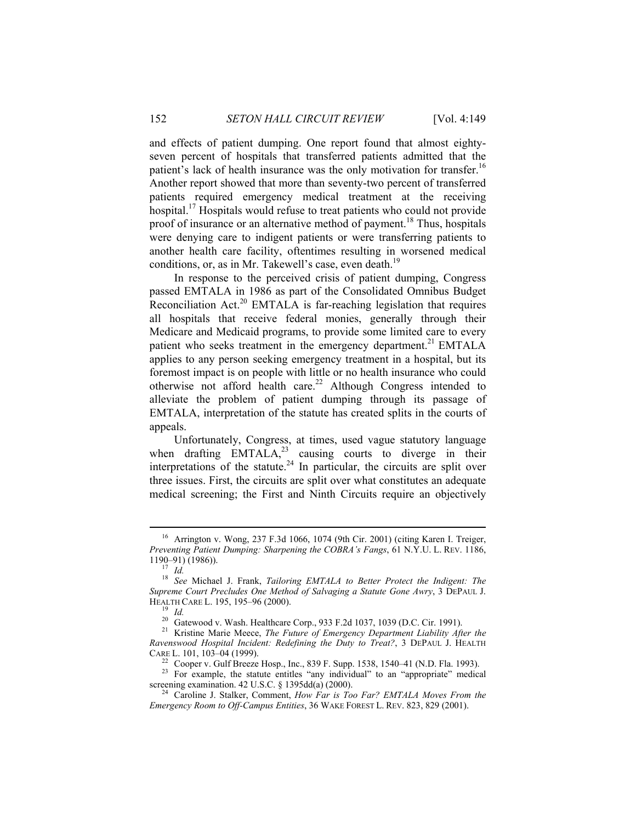and effects of patient dumping. One report found that almost eightyseven percent of hospitals that transferred patients admitted that the patient's lack of health insurance was the only motivation for transfer.<sup>16</sup> Another report showed that more than seventy-two percent of transferred patients required emergency medical treatment at the receiving hospital.<sup>17</sup> Hospitals would refuse to treat patients who could not provide proof of insurance or an alternative method of payment.<sup>18</sup> Thus, hospitals were denying care to indigent patients or were transferring patients to another health care facility, oftentimes resulting in worsened medical conditions, or, as in Mr. Takewell's case, even death.<sup>19</sup>

In response to the perceived crisis of patient dumping, Congress passed EMTALA in 1986 as part of the Consolidated Omnibus Budget Reconciliation Act.<sup>20</sup> EMTALA is far-reaching legislation that requires all hospitals that receive federal monies, generally through their Medicare and Medicaid programs, to provide some limited care to every patient who seeks treatment in the emergency department.<sup>21</sup> EMTALA applies to any person seeking emergency treatment in a hospital, but its foremost impact is on people with little or no health insurance who could otherwise not afford health care.<sup>22</sup> Although Congress intended to alleviate the problem of patient dumping through its passage of EMTALA, interpretation of the statute has created splits in the courts of appeals.

Unfortunately, Congress, at times, used vague statutory language when drafting  $EMTALA<sup>23</sup>$  causing courts to diverge in their interpretations of the statute.<sup>24</sup> In particular, the circuits are split over three issues. First, the circuits are split over what constitutes an adequate medical screening; the First and Ninth Circuits require an objectively

 <sup>16</sup> Arrington v. Wong, 237 F.3d 1066, 1074 (9th Cir. 2001) (citing Karen I. Treiger, *Preventing Patient Dumping: Sharpening the COBRA's Fangs*, 61 N.Y.U. L. REV. 1186,

<sup>1190–91) (1986)). 17</sup> *Id.* <sup>18</sup> *See* Michael J. Frank, *Tailoring EMTALA to Better Protect the Indigent: The Supreme Court Precludes One Method of Salvaging a Statute Gone Awry*, 3 DEPAUL J. HEALTH CARE L. 195, 195–96 (2000).<br><sup>19</sup> *Id.* 20 Gatewood v. Wash. Healthcare Corp., 933 F.2d 1037, 1039 (D.C. Cir. 1991).<br><sup>21</sup> Kristine Marie Meece, *The Future of Emergency Department Liability After the* 

*Ravenswood Hospital Incident: Redefining the Duty to Treat?*, 3 DEPAUL J. HEALTH

<sup>&</sup>lt;sup>22</sup> Cooper v. Gulf Breeze Hosp., Inc., 839 F. Supp. 1538, 1540–41 (N.D. Fla. 1993).<br><sup>23</sup> For example, the statute entitles "any individual" to an "appropriate" medical screening examination. 42 U.S.C. § 1395dd(a) (2000).

<sup>&</sup>lt;sup>24</sup> Caroline J. Stalker, Comment, *How Far is Too Far? EMTALA Moves From the Emergency Room to Off-Campus Entities*, 36 WAKE FOREST L. REV. 823, 829 (2001).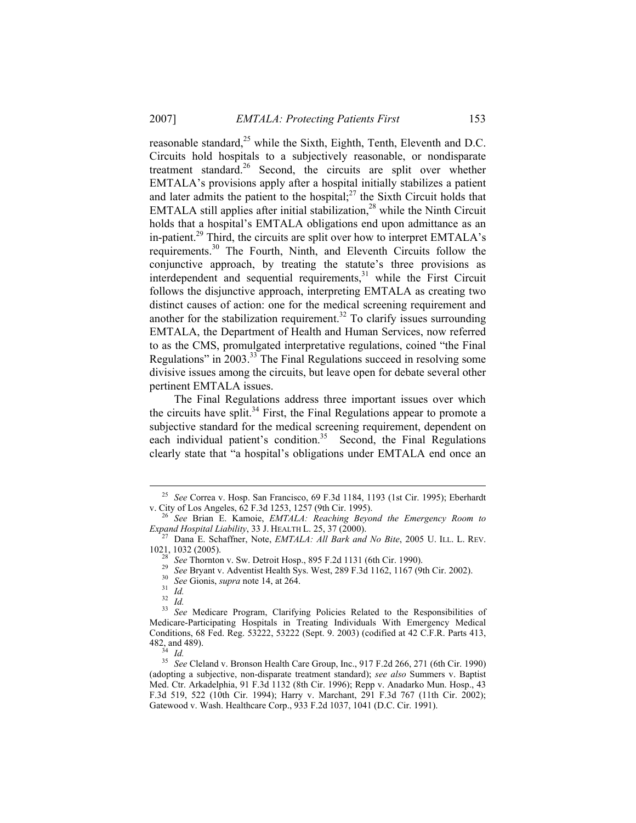reasonable standard,<sup>25</sup> while the Sixth, Eighth, Tenth, Eleventh and D.C. Circuits hold hospitals to a subjectively reasonable, or nondisparate treatment standard.26 Second, the circuits are split over whether EMTALA's provisions apply after a hospital initially stabilizes a patient and later admits the patient to the hospital; $2<sup>7</sup>$  the Sixth Circuit holds that EMTALA still applies after initial stabilization,<sup>28</sup> while the Ninth Circuit holds that a hospital's EMTALA obligations end upon admittance as an in-patient.<sup>29</sup> Third, the circuits are split over how to interpret EMTALA's requirements.30 The Fourth, Ninth, and Eleventh Circuits follow the conjunctive approach, by treating the statute's three provisions as interdependent and sequential requirements,<sup>31</sup> while the First Circuit follows the disjunctive approach, interpreting EMTALA as creating two distinct causes of action: one for the medical screening requirement and another for the stabilization requirement.<sup>32</sup> To clarify issues surrounding EMTALA, the Department of Health and Human Services, now referred to as the CMS, promulgated interpretative regulations, coined "the Final Regulations" in 2003.33 The Final Regulations succeed in resolving some divisive issues among the circuits, but leave open for debate several other pertinent EMTALA issues.

The Final Regulations address three important issues over which the circuits have split.<sup>34</sup> First, the Final Regulations appear to promote a subjective standard for the medical screening requirement, dependent on each individual patient's condition.<sup>35</sup> Second, the Final Regulations clearly state that "a hospital's obligations under EMTALA end once an

<sup>&</sup>lt;sup>25</sup> See Correa v. Hosp. San Francisco, 69 F.3d 1184, 1193 (1st Cir. 1995); Eberhardt v. City of Los Angeles, 62 F.3d 1253, 1257 (9th Cir. 1995).

<sup>&</sup>lt;sup>6</sup> See Brian E. Kamoie, *EMTALA: Reaching Beyond the Emergency Room to* 

*Expand Hospital Liability*, 33 J. HEALTH L. 25, 37 (2000).<br><sup>27</sup> Dana E. Schaffner, Note, *EMTALA: All Bark and No Bite*, 2005 U. ILL. L. REV.<br>1021. 1032 (2005).

<sup>&</sup>lt;sup>28</sup> See Thornton v. Sw. Detroit Hosp., 895 F.2d 1131 (6th Cir. 1990).<br><sup>29</sup> See Bryant v. Adventist Health Sys. West, 289 F.3d 1162, 1167 (9th Cir. 2002).<br><sup>30</sup> See Gionis, *supra* note 14, at 264.<br><sup>31</sup> Id.

<sup>&</sup>lt;sup>33</sup> See Medicare Program, Clarifying Policies Related to the Responsibilities of Medicare-Participating Hospitals in Treating Individuals With Emergency Medical Conditions, 68 Fed. Reg. 53222, 53222 (Sept. 9. 2003) (codified at 42 C.F.R. Parts 413, 482, and 489).

<sup>482,</sup> and 489). 34 *Id.* <sup>35</sup> *See* Cleland v. Bronson Health Care Group, Inc., 917 F.2d 266, 271 (6th Cir. 1990) (adopting a subjective, non-disparate treatment standard); *see also* Summers v. Baptist Med. Ctr. Arkadelphia, 91 F.3d 1132 (8th Cir. 1996); Repp v. Anadarko Mun. Hosp., 43 F.3d 519, 522 (10th Cir. 1994); Harry v. Marchant, 291 F.3d 767 (11th Cir. 2002); Gatewood v. Wash. Healthcare Corp., 933 F.2d 1037, 1041 (D.C. Cir. 1991).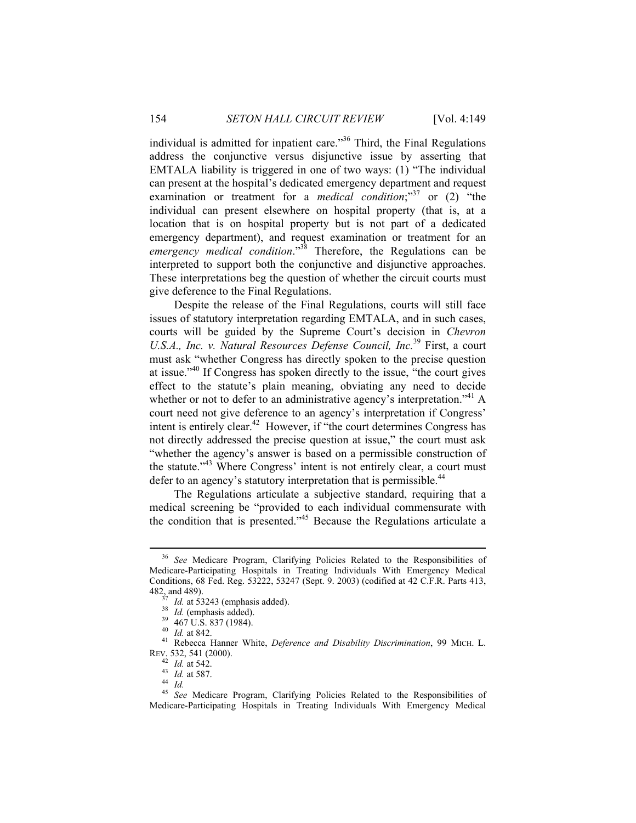individual is admitted for inpatient care."36 Third, the Final Regulations address the conjunctive versus disjunctive issue by asserting that EMTALA liability is triggered in one of two ways: (1) "The individual can present at the hospital's dedicated emergency department and request examination or treatment for a *medical condition*;<sup>37</sup> or (2) "the individual can present elsewhere on hospital property (that is, at a location that is on hospital property but is not part of a dedicated emergency department), and request examination or treatment for an *emergency medical condition*."38 Therefore, the Regulations can be interpreted to support both the conjunctive and disjunctive approaches. These interpretations beg the question of whether the circuit courts must give deference to the Final Regulations.

Despite the release of the Final Regulations, courts will still face issues of statutory interpretation regarding EMTALA, and in such cases, courts will be guided by the Supreme Court's decision in *Chevron U.S.A., Inc. v. Natural Resources Defense Council, Inc.*39 First, a court must ask "whether Congress has directly spoken to the precise question at issue."40 If Congress has spoken directly to the issue, "the court gives effect to the statute's plain meaning, obviating any need to decide whether or not to defer to an administrative agency's interpretation."<sup>41</sup> A court need not give deference to an agency's interpretation if Congress' intent is entirely clear.<sup>42</sup> However, if "the court determines Congress has not directly addressed the precise question at issue," the court must ask "whether the agency's answer is based on a permissible construction of the statute."43 Where Congress' intent is not entirely clear, a court must defer to an agency's statutory interpretation that is permissible.<sup>44</sup>

The Regulations articulate a subjective standard, requiring that a medical screening be "provided to each individual commensurate with the condition that is presented."45 Because the Regulations articulate a

 <sup>36</sup> *See* Medicare Program, Clarifying Policies Related to the Responsibilities of Medicare-Participating Hospitals in Treating Individuals With Emergency Medical Conditions, 68 Fed. Reg. 53222, 53247 (Sept. 9. 2003) (codified at 42 C.F.R. Parts 413, 482, and 489).<br> $\frac{37}{10}$  Id. at 53243 (emphasis added).

<sup>&</sup>lt;sup>38</sup> Id. (emphasis added).<br><sup>39</sup> 467 U.S. 837 (1984).<br><sup>40</sup> Id. at 842.<br><sup>41</sup> Rebecca Hanner White, *Deference and Disability Discrimination*, 99 MICH. L. REV. 532, 541 (2000).

<sup>42</sup> *Id.* at 542. 43 *Id.* at 587. 44 *Id.*

<sup>45</sup> *See* Medicare Program, Clarifying Policies Related to the Responsibilities of Medicare-Participating Hospitals in Treating Individuals With Emergency Medical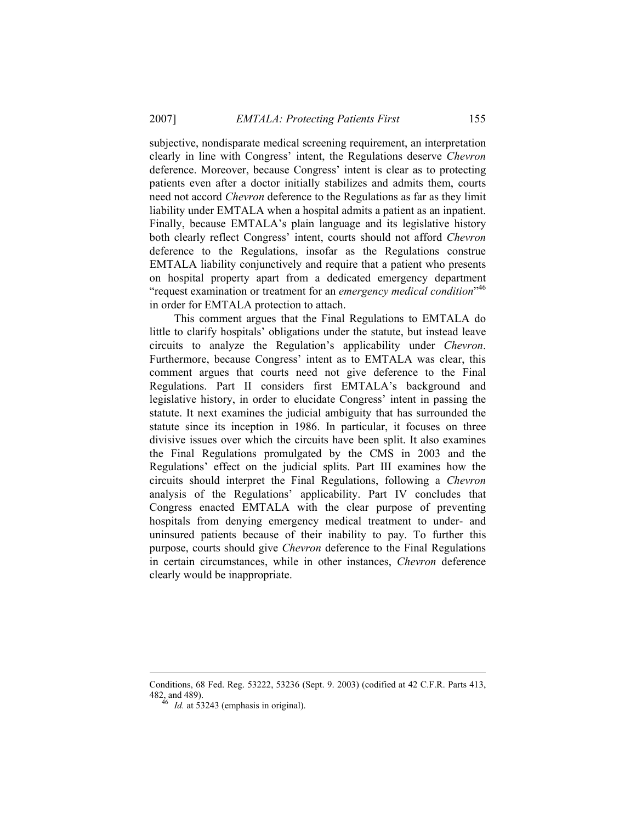subjective, nondisparate medical screening requirement, an interpretation clearly in line with Congress' intent, the Regulations deserve *Chevron* deference. Moreover, because Congress' intent is clear as to protecting patients even after a doctor initially stabilizes and admits them, courts need not accord *Chevron* deference to the Regulations as far as they limit liability under EMTALA when a hospital admits a patient as an inpatient. Finally, because EMTALA's plain language and its legislative history both clearly reflect Congress' intent, courts should not afford *Chevron* deference to the Regulations, insofar as the Regulations construe EMTALA liability conjunctively and require that a patient who presents on hospital property apart from a dedicated emergency department "request examination or treatment for an *emergency medical condition*" 46 in order for EMTALA protection to attach.

This comment argues that the Final Regulations to EMTALA do little to clarify hospitals' obligations under the statute, but instead leave circuits to analyze the Regulation's applicability under *Chevron*. Furthermore, because Congress' intent as to EMTALA was clear, this comment argues that courts need not give deference to the Final Regulations. Part II considers first EMTALA's background and legislative history, in order to elucidate Congress' intent in passing the statute. It next examines the judicial ambiguity that has surrounded the statute since its inception in 1986. In particular, it focuses on three divisive issues over which the circuits have been split. It also examines the Final Regulations promulgated by the CMS in 2003 and the Regulations' effect on the judicial splits. Part III examines how the circuits should interpret the Final Regulations, following a *Chevron* analysis of the Regulations' applicability. Part IV concludes that Congress enacted EMTALA with the clear purpose of preventing hospitals from denying emergency medical treatment to under- and uninsured patients because of their inability to pay. To further this purpose, courts should give *Chevron* deference to the Final Regulations in certain circumstances, while in other instances, *Chevron* deference clearly would be inappropriate.

 $\overline{a}$ 

Conditions, 68 Fed. Reg. 53222, 53236 (Sept. 9. 2003) (codified at 42 C.F.R. Parts 413, 482, and 489). 46 *Id.* at 53243 (emphasis in original).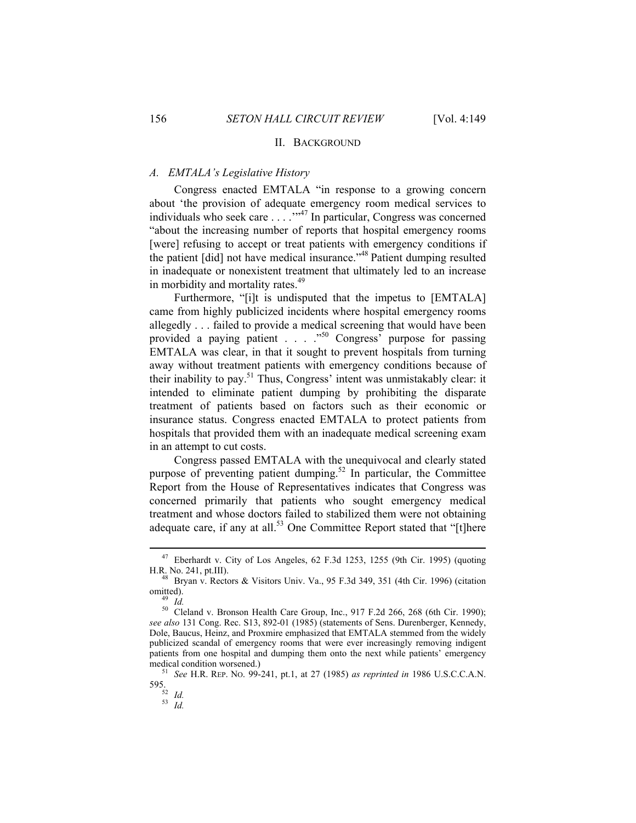# II. BACKGROUND

## *A. EMTALA's Legislative History*

Congress enacted EMTALA "in response to a growing concern about 'the provision of adequate emergency room medical services to individuals who seek care . . . . "<sup>47</sup> In particular, Congress was concerned "about the increasing number of reports that hospital emergency rooms [were] refusing to accept or treat patients with emergency conditions if the patient [did] not have medical insurance."<sup>48</sup> Patient dumping resulted in inadequate or nonexistent treatment that ultimately led to an increase in morbidity and mortality rates.<sup>49</sup>

Furthermore, "[i]t is undisputed that the impetus to [EMTALA] came from highly publicized incidents where hospital emergency rooms allegedly . . . failed to provide a medical screening that would have been provided a paying patient . . . . "<sup>50</sup> Congress<sup>"</sup> purpose for passing EMTALA was clear, in that it sought to prevent hospitals from turning away without treatment patients with emergency conditions because of their inability to pay.<sup>51</sup> Thus, Congress' intent was unmistakably clear: it intended to eliminate patient dumping by prohibiting the disparate treatment of patients based on factors such as their economic or insurance status. Congress enacted EMTALA to protect patients from hospitals that provided them with an inadequate medical screening exam in an attempt to cut costs.

Congress passed EMTALA with the unequivocal and clearly stated purpose of preventing patient dumping.<sup>52</sup> In particular, the Committee Report from the House of Representatives indicates that Congress was concerned primarily that patients who sought emergency medical treatment and whose doctors failed to stabilized them were not obtaining adequate care, if any at all.<sup>53</sup> One Committee Report stated that "[t]here

 <sup>47</sup> Eberhardt v. City of Los Angeles, 62 F.3d 1253, 1255 (9th Cir. 1995) (quoting H.R. No. 241, pt.III). 48 Bryan v. Rectors & Visitors Univ. Va., 95 F.3d 349, 351 (4th Cir. 1996) (citation

omitted).<br><sup>49</sup> *Id.*<br><sup>50</sup> Cleland v. Bronson Health Care Group, Inc., 917 F.2d 266, 268 (6th Cir. 1990);

*see also* 131 Cong. Rec. S13, 892-01 (1985) (statements of Sens. Durenberger, Kennedy, Dole, Baucus, Heinz, and Proxmire emphasized that EMTALA stemmed from the widely publicized scandal of emergency rooms that were ever increasingly removing indigent patients from one hospital and dumping them onto the next while patients' emergency medical condition worsened.) **51** *See* H.R. REP. No. 99-241, pt.1, at 27 (1985) *as reprinted in* 1986 U.S.C.C.A.N.

<sup>595. 52</sup> *Id.* <sup>53</sup> *Id.*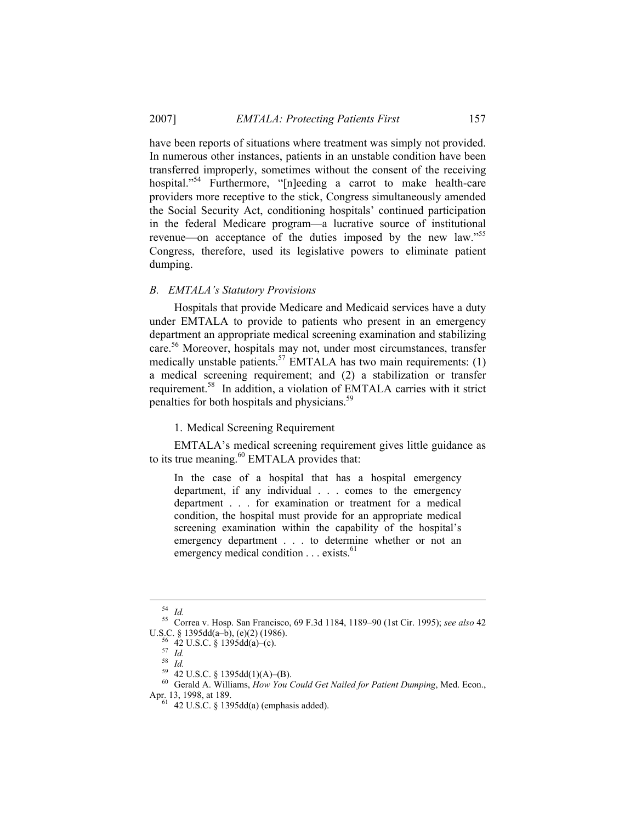have been reports of situations where treatment was simply not provided. In numerous other instances, patients in an unstable condition have been transferred improperly, sometimes without the consent of the receiving hospital."<sup>54</sup> Furthermore, "[n]eeding a carrot to make health-care providers more receptive to the stick, Congress simultaneously amended the Social Security Act, conditioning hospitals' continued participation in the federal Medicare program—a lucrative source of institutional revenue—on acceptance of the duties imposed by the new law."<sup>55</sup> Congress, therefore, used its legislative powers to eliminate patient dumping.

# *B. EMTALA's Statutory Provisions*

Hospitals that provide Medicare and Medicaid services have a duty under EMTALA to provide to patients who present in an emergency department an appropriate medical screening examination and stabilizing care.<sup>56</sup> Moreover, hospitals may not, under most circumstances, transfer medically unstable patients.<sup>57</sup> EMTALA has two main requirements:  $(1)$ a medical screening requirement; and (2) a stabilization or transfer requirement.58 In addition, a violation of EMTALA carries with it strict penalties for both hospitals and physicians.<sup>59</sup>

1. Medical Screening Requirement

EMTALA's medical screening requirement gives little guidance as to its true meaning.<sup>60</sup> EMTALA provides that:

In the case of a hospital that has a hospital emergency department, if any individual . . . comes to the emergency department . . . for examination or treatment for a medical condition, the hospital must provide for an appropriate medical screening examination within the capability of the hospital's emergency department . . . to determine whether or not an emergency medical condition . . . exists.<sup>61</sup>

<sup>54</sup> *Id.* 55 Correa v. Hosp. San Francisco, 69 F.3d 1184, 1189–90 (1st Cir. 1995); *see also* <sup>42</sup> U.S.C. § 1395dd(a–b), (e)(2) (1986).<br><sup>56</sup> 42 U.S.C. § 1395dd(a)–(c).<br><sup>57</sup> *Id.* 58 *Id.* 42 U.S.C. § 1395dd(1)(A)–(B).

<sup>60</sup> Gerald A. Williams, *How You Could Get Nailed for Patient Dumping*, Med. Econ.,

 $42$  U.S.C. § 1395dd(a) (emphasis added).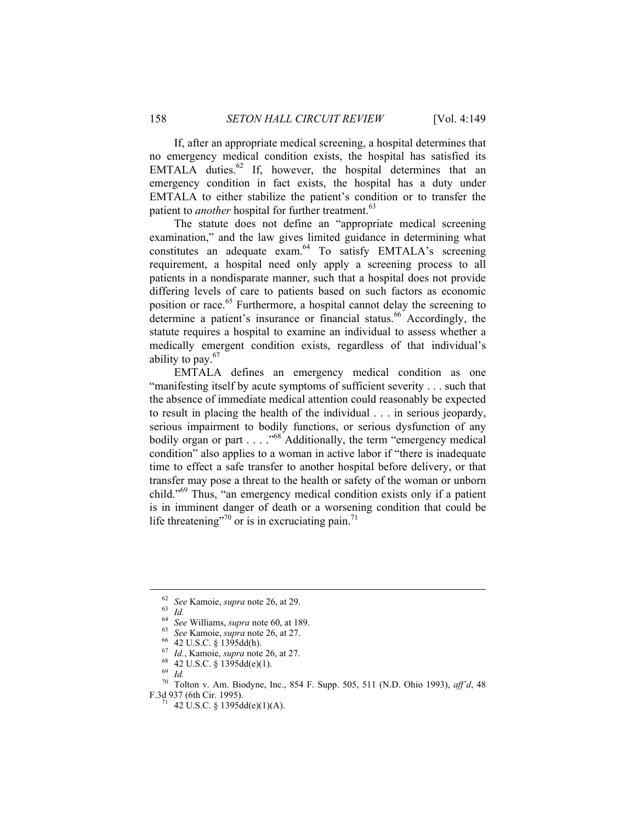If, after an appropriate medical screening, a hospital determines that no emergency medical condition exists, the hospital has satisfied its EMTALA duties.<sup>62</sup> If, however, the hospital determines that an emergency condition in fact exists, the hospital has a duty under EMTALA to either stabilize the patient's condition or to transfer the patient to *another* hospital for further treatment.<sup>63</sup>

The statute does not define an "appropriate medical screening examination," and the law gives limited guidance in determining what constitutes an adequate exam.<sup>64</sup> To satisfy EMTALA's screening requirement, a hospital need only apply a screening process to all patients in a nondisparate manner, such that a hospital does not provide differing levels of care to patients based on such factors as economic position or race.<sup>65</sup> Furthermore, a hospital cannot delay the screening to determine a patient's insurance or financial status.<sup>66</sup> Accordingly, the statute requires a hospital to examine an individual to assess whether a medically emergent condition exists, regardless of that individual's ability to pay. $67$ 

EMTALA defines an emergency medical condition as one "manifesting itself by acute symptoms of sufficient severity . . . such that the absence of immediate medical attention could reasonably be expected to result in placing the health of the individual . . . in serious jeopardy, serious impairment to bodily functions, or serious dysfunction of any bodily organ or part . . . . .<sup>68</sup> Additionally, the term "emergency medical condition" also applies to a woman in active labor if "there is inadequate time to effect a safe transfer to another hospital before delivery, or that transfer may pose a threat to the health or safety of the woman or unborn child."69 Thus, "an emergency medical condition exists only if a patient is in imminent danger of death or a worsening condition that could be life threatening"<sup>70</sup> or is in excruciating pain.<sup>71</sup>

<sup>&</sup>lt;sup>62</sup> *See* Kamoie, *supra* note 26, at 29.<br>
<sup>63</sup> *Id.*<br>
<sup>64</sup> *See* Williams, *supra* note 60, at 189.<br>
<sup>65</sup> *See* Kamoie, *supra* note 26, at 27.<br>
<sup>66</sup> 42 U.S.C. § 1395dd(h).<br>
<sup>67</sup> *Id.*, Kamoie, *supra* note 26, at 27.<br>

<sup>&</sup>lt;sup>70</sup> Tolton v. Am. Biodyne, Inc., 854 F. Supp. 505, 511 (N.D. Ohio 1993), *aff'd*, 48 F.3d 937 (6th Cir. 1995).

<sup>&</sup>lt;sup>71</sup> 42 U.S.C. § 1395dd(e)(1)(A).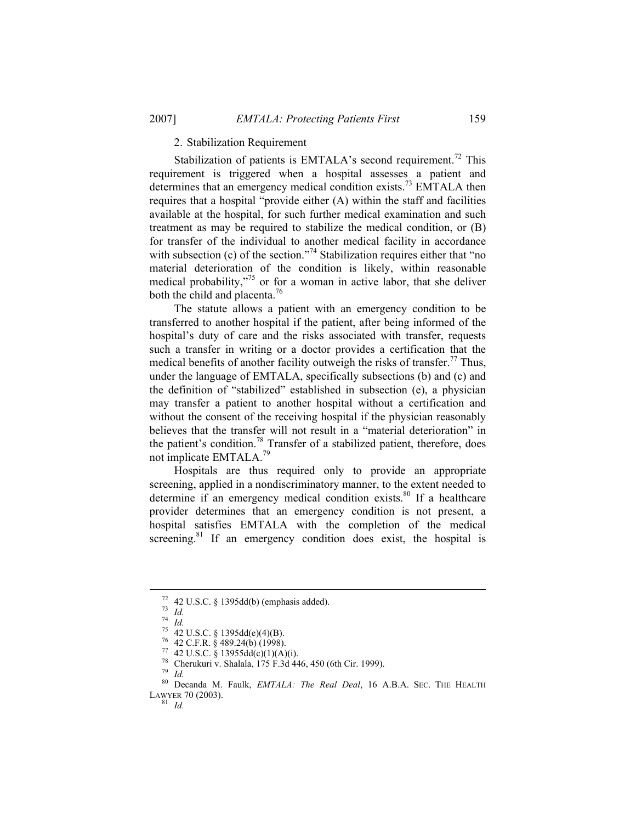## 2. Stabilization Requirement

Stabilization of patients is EMTALA's second requirement.<sup>72</sup> This requirement is triggered when a hospital assesses a patient and determines that an emergency medical condition exists.<sup>73</sup> EMTALA then requires that a hospital "provide either (A) within the staff and facilities available at the hospital, for such further medical examination and such treatment as may be required to stabilize the medical condition, or (B) for transfer of the individual to another medical facility in accordance with subsection (c) of the section."<sup>74</sup> Stabilization requires either that "no material deterioration of the condition is likely, within reasonable medical probability, $\frac{1}{2}$  or for a woman in active labor, that she deliver both the child and placenta.<sup>76</sup>

The statute allows a patient with an emergency condition to be transferred to another hospital if the patient, after being informed of the hospital's duty of care and the risks associated with transfer, requests such a transfer in writing or a doctor provides a certification that the medical benefits of another facility outweigh the risks of transfer.<sup>77</sup> Thus, under the language of EMTALA, specifically subsections (b) and (c) and the definition of "stabilized" established in subsection (e), a physician may transfer a patient to another hospital without a certification and without the consent of the receiving hospital if the physician reasonably believes that the transfer will not result in a "material deterioration" in the patient's condition.<sup>78</sup> Transfer of a stabilized patient, therefore, does not implicate EMTALA.<sup>79</sup>

Hospitals are thus required only to provide an appropriate screening, applied in a nondiscriminatory manner, to the extent needed to determine if an emergency medical condition exists.<sup>80</sup> If a healthcare provider determines that an emergency condition is not present, a hospital satisfies EMTALA with the completion of the medical screening.<sup>81</sup> If an emergency condition does exist, the hospital is

<sup>&</sup>lt;sup>72</sup> 42 U.S.C. § 1395dd(b) (emphasis added).<br>
<sup>73</sup> *Id.*<br>
<sup>74</sup> *Id.*<br>
<sup>75</sup> 42 U.S.C. § 1395dd(e)(4)(B).<br>
<sup>76</sup> 42 C.F.R. § 489.24(b) (1998).<br>
<sup>77</sup> 42 U.S.C. § 13955dd(c)(1)(A)(i).<br>
<sup>78</sup> Cherukuri v. Shalala, 175 F.3d 446,

<sup>80</sup> Decanda M. Faulk, *EMTALA: The Real Deal*, 16 A.B.A. SEC. THE HEALTH LAWYER 70 (2003). 81 *Id.*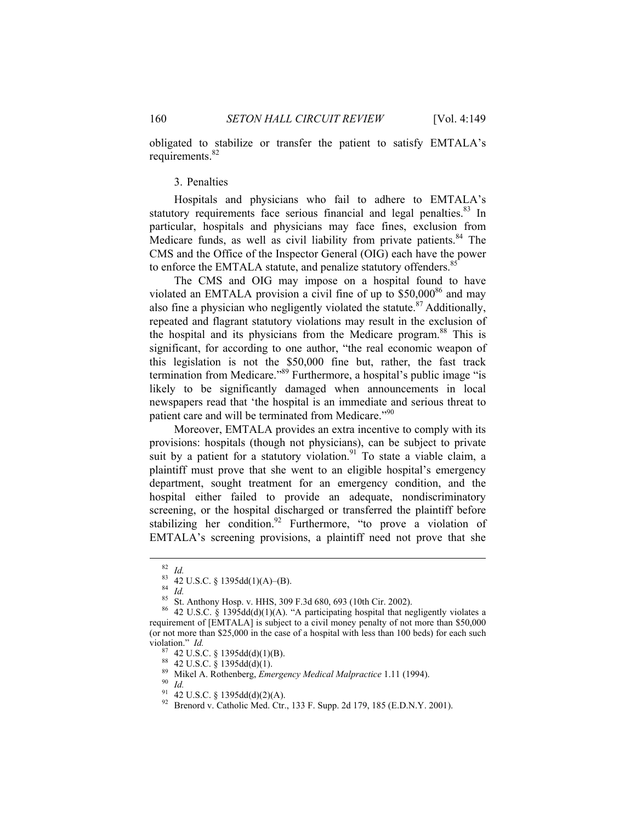obligated to stabilize or transfer the patient to satisfy EMTALA's requirements.<sup>82</sup>

# 3. Penalties

Hospitals and physicians who fail to adhere to EMTALA's statutory requirements face serious financial and legal penalties.<sup>83</sup> In particular, hospitals and physicians may face fines, exclusion from Medicare funds, as well as civil liability from private patients.<sup>84</sup> The CMS and the Office of the Inspector General (OIG) each have the power to enforce the EMTALA statute, and penalize statutory offenders.<sup>85</sup>

The CMS and OIG may impose on a hospital found to have violated an EMTALA provision a civil fine of up to  $$50,000^{86}$  and may also fine a physician who negligently violated the statute.<sup>87</sup> Additionally, repeated and flagrant statutory violations may result in the exclusion of the hospital and its physicians from the Medicare program.88 This is significant, for according to one author, "the real economic weapon of this legislation is not the \$50,000 fine but, rather, the fast track termination from Medicare."89 Furthermore, a hospital's public image "is likely to be significantly damaged when announcements in local newspapers read that 'the hospital is an immediate and serious threat to patient care and will be terminated from Medicare."<sup>90</sup>

Moreover, EMTALA provides an extra incentive to comply with its provisions: hospitals (though not physicians), can be subject to private suit by a patient for a statutory violation.<sup>91</sup> To state a viable claim, a plaintiff must prove that she went to an eligible hospital's emergency department, sought treatment for an emergency condition, and the hospital either failed to provide an adequate, nondiscriminatory screening, or the hospital discharged or transferred the plaintiff before stabilizing her condition.<sup>92</sup> Furthermore, "to prove a violation of EMTALA's screening provisions, a plaintiff need not prove that she

<sup>82</sup> *Id.*<br>
83 42 U.S.C. § 1395dd(1)(A)–(B).<br>
84 *Id.*<br>
85 St. Anthony Hosp. v. HHS, 309 F.3d 680, 693 (10th Cir. 2002).

 $86$  42 U.S.C. § 1395dd(d)(1)(A). "A participating hospital that negligently violates a requirement of [EMTALA] is subject to a civil money penalty of not more than \$50,000 (or not more than \$25,000 in the case of a hospital with less than 100 beds) for each such violation."  $Id$ .

violation." *Id.* 87 42 U.S.C. § 1395dd(d)(1)(B). 88 42 U.S.C. § 1395dd(d)(1). 89 Mikel A. Rothenberg, *Emergency Medical Malpractice* 1.11 (1994). 90 *Id.*

<sup>92</sup> Brenord v. Catholic Med. Ctr., 133 F. Supp. 2d 179, 185 (E.D.N.Y. 2001).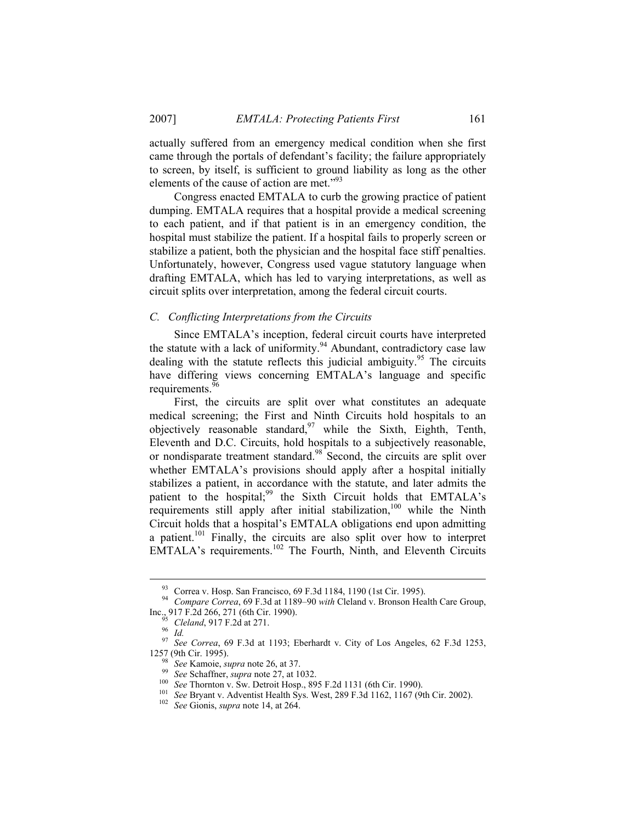actually suffered from an emergency medical condition when she first came through the portals of defendant's facility; the failure appropriately to screen, by itself, is sufficient to ground liability as long as the other elements of the cause of action are met."<sup>93</sup>

Congress enacted EMTALA to curb the growing practice of patient dumping. EMTALA requires that a hospital provide a medical screening to each patient, and if that patient is in an emergency condition, the hospital must stabilize the patient. If a hospital fails to properly screen or stabilize a patient, both the physician and the hospital face stiff penalties. Unfortunately, however, Congress used vague statutory language when drafting EMTALA, which has led to varying interpretations, as well as circuit splits over interpretation, among the federal circuit courts.

#### *C. Conflicting Interpretations from the Circuits*

Since EMTALA's inception, federal circuit courts have interpreted the statute with a lack of uniformity.<sup>94</sup> Abundant, contradictory case law dealing with the statute reflects this judicial ambiguity.<sup>95</sup> The circuits have differing views concerning EMTALA's language and specific requirements.<sup>96</sup>

First, the circuits are split over what constitutes an adequate medical screening; the First and Ninth Circuits hold hospitals to an objectively reasonable standard, <sup>97</sup> while the Sixth, Eighth, Tenth, Eleventh and D.C. Circuits, hold hospitals to a subjectively reasonable, or nondisparate treatment standard.<sup>98</sup> Second, the circuits are split over whether EMTALA's provisions should apply after a hospital initially stabilizes a patient, in accordance with the statute, and later admits the patient to the hospital;<sup>99</sup> the Sixth Circuit holds that EMTALA's requirements still apply after initial stabilization,<sup>100</sup> while the Ninth Circuit holds that a hospital's EMTALA obligations end upon admitting a patient.101 Finally, the circuits are also split over how to interpret EMTALA's requirements.<sup>102</sup> The Fourth, Ninth, and Eleventh Circuits

<sup>&</sup>lt;sup>93</sup> Correa v. Hosp. San Francisco, 69 F.3d 1184, 1190 (1st Cir. 1995).

<sup>&</sup>lt;sup>94</sup> Compare Correa, 69 F.3d at 1189–90 *with* Cleland v. Bronson Health Care Group, <br>Inc., 917 F.2d 266, 271 (6th Cir. 1990).<br><sup>95</sup> Cleland, 917 F.2d at 271. Inc., 917 F.2d 266, 271 (6th Cir. 1990). 95 *Cleland*, 917 F.2d at 271. 96 *Id.* <sup>97</sup> *See Correa*, 69 F.3d at 1193; Eberhardt v. City of Los Angeles, 62 F.3d 1253,

<sup>1257 (9</sup>th Cir. 1995).<br>
<sup>98</sup> See Kamoie, *supra* note 26, at 37.<br>
<sup>99</sup> See Schaffner, *supra* note 27, at 1032.<br>
<sup>100</sup> See Thornton v. Sw. Detroit Hosp., 895 F.2d 1131 (6th Cir. 1990).<br>
<sup>101</sup> See Bryant v. Adventist Health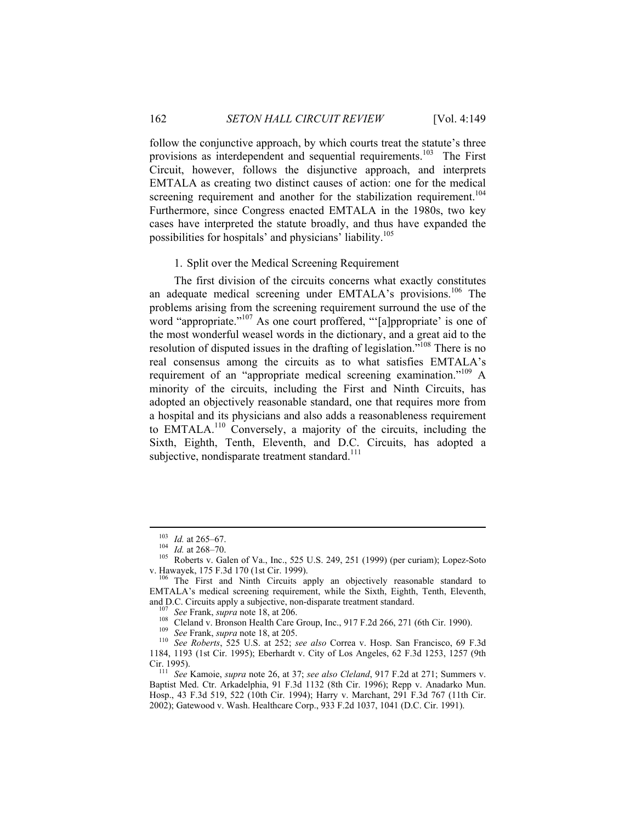follow the conjunctive approach, by which courts treat the statute's three provisions as interdependent and sequential requirements.<sup>103</sup> The First Circuit, however, follows the disjunctive approach, and interprets EMTALA as creating two distinct causes of action: one for the medical screening requirement and another for the stabilization requirement.<sup>104</sup> Furthermore, since Congress enacted EMTALA in the 1980s, two key cases have interpreted the statute broadly, and thus have expanded the possibilities for hospitals' and physicians' liability.105

## 1. Split over the Medical Screening Requirement

The first division of the circuits concerns what exactly constitutes an adequate medical screening under EMTALA's provisions.<sup>106</sup> The problems arising from the screening requirement surround the use of the word "appropriate."<sup>107</sup> As one court proffered, "'[a]ppropriate' is one of the most wonderful weasel words in the dictionary, and a great aid to the resolution of disputed issues in the drafting of legislation.<sup>"108</sup> There is no real consensus among the circuits as to what satisfies EMTALA's requirement of an "appropriate medical screening examination."109 A minority of the circuits, including the First and Ninth Circuits, has adopted an objectively reasonable standard, one that requires more from a hospital and its physicians and also adds a reasonableness requirement to EMTALA.110 Conversely, a majority of the circuits, including the Sixth, Eighth, Tenth, Eleventh, and D.C. Circuits, has adopted a subjective, nondisparate treatment standard.<sup>111</sup>

<sup>103</sup> *Id.* at 265–67.<br>
<sup>104</sup> *Id.* at 268–70.<br>
<sup>105</sup> Roberts v. Galen of Va., Inc., 525 U.S. 249, 251 (1999) (per curiam); Lopez-Soto v. Hawayek, 175 F.3d 170 (1st Cir. 1999).<br><sup>106</sup> The First and Ninth Circuits apply an objectively reasonable standard to

EMTALA's medical screening requirement, while the Sixth, Eighth, Tenth, Eleventh, and D.C. Circuits apply a subjective, non-disparate treatment standard.<br>
<sup>107</sup> See Frank, *supra* note 18, at 206.<br>
<sup>108</sup> Cleland v. Bronson Health Care Group, Inc., 917 F.2d 266, 271 (6th Cir. 1990).<br>
<sup>109</sup> See Frank, *s* 

<sup>1184, 1193 (1</sup>st Cir. 1995); Eberhardt v. City of Los Angeles, 62 F.3d 1253, 1257 (9th Cir. 1995). 111 *See* Kamoie, *supra* note 26, at 37; *see also Cleland*, 917 F.2d at 271; Summers v.

Baptist Med. Ctr. Arkadelphia, 91 F.3d 1132 (8th Cir. 1996); Repp v. Anadarko Mun. Hosp., 43 F.3d 519, 522 (10th Cir. 1994); Harry v. Marchant, 291 F.3d 767 (11th Cir. 2002); Gatewood v. Wash. Healthcare Corp., 933 F.2d 1037, 1041 (D.C. Cir. 1991).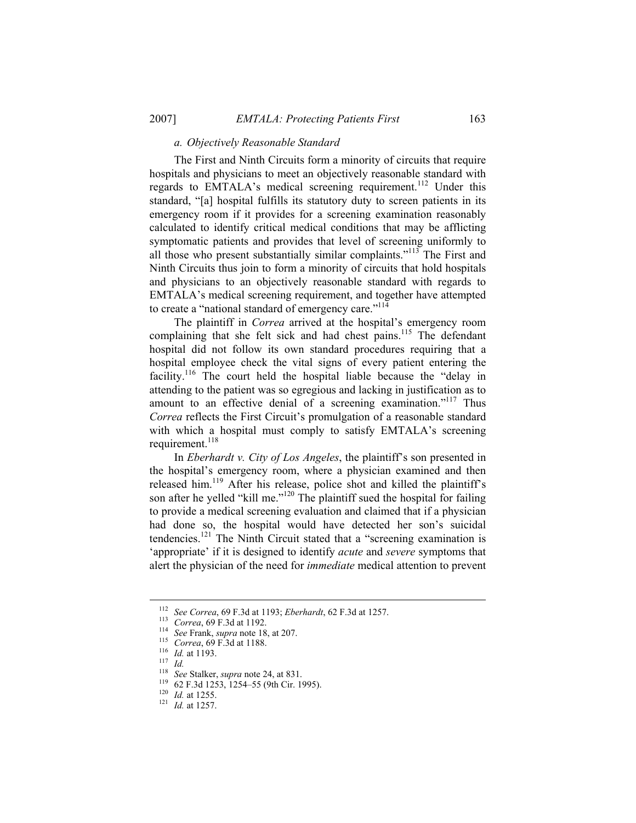# *a. Objectively Reasonable Standard*

The First and Ninth Circuits form a minority of circuits that require hospitals and physicians to meet an objectively reasonable standard with regards to EMTALA's medical screening requirement.<sup>112</sup> Under this standard, "[a] hospital fulfills its statutory duty to screen patients in its emergency room if it provides for a screening examination reasonably calculated to identify critical medical conditions that may be afflicting symptomatic patients and provides that level of screening uniformly to all those who present substantially similar complaints."113 The First and Ninth Circuits thus join to form a minority of circuits that hold hospitals and physicians to an objectively reasonable standard with regards to EMTALA's medical screening requirement, and together have attempted to create a "national standard of emergency care."<sup>114</sup>

The plaintiff in *Correa* arrived at the hospital's emergency room complaining that she felt sick and had chest pains.<sup>115</sup> The defendant hospital did not follow its own standard procedures requiring that a hospital employee check the vital signs of every patient entering the facility.<sup>116</sup> The court held the hospital liable because the "delay in attending to the patient was so egregious and lacking in justification as to amount to an effective denial of a screening examination."<sup>117</sup> Thus *Correa* reflects the First Circuit's promulgation of a reasonable standard with which a hospital must comply to satisfy EMTALA's screening requirement. $^{118}$ 

In *Eberhardt v. City of Los Angeles*, the plaintiff's son presented in the hospital's emergency room, where a physician examined and then released him.<sup>119</sup> After his release, police shot and killed the plaintiff's son after he yelled "kill me."<sup>120</sup> The plaintiff sued the hospital for failing to provide a medical screening evaluation and claimed that if a physician had done so, the hospital would have detected her son's suicidal tendencies.<sup>121</sup> The Ninth Circuit stated that a "screening examination is 'appropriate' if it is designed to identify *acute* and *severe* symptoms that alert the physician of the need for *immediate* medical attention to prevent

<sup>&</sup>lt;sup>112</sup> See Correa, 69 F.3d at 1193; *Eberhardt*, 62 F.3d at 1257.<br>
<sup>113</sup> Correa, 69 F.3d at 1192.<br>
<sup>114</sup> See Frank, *supra* note 18, at 207.<br>
<sup>115</sup> Correa, 69 F.3d at 1188.<br>
<sup>116</sup> *Id.* at 1193.<br>
<sup>117</sup> *Id.*<br>
<sup>118</sup> See Sta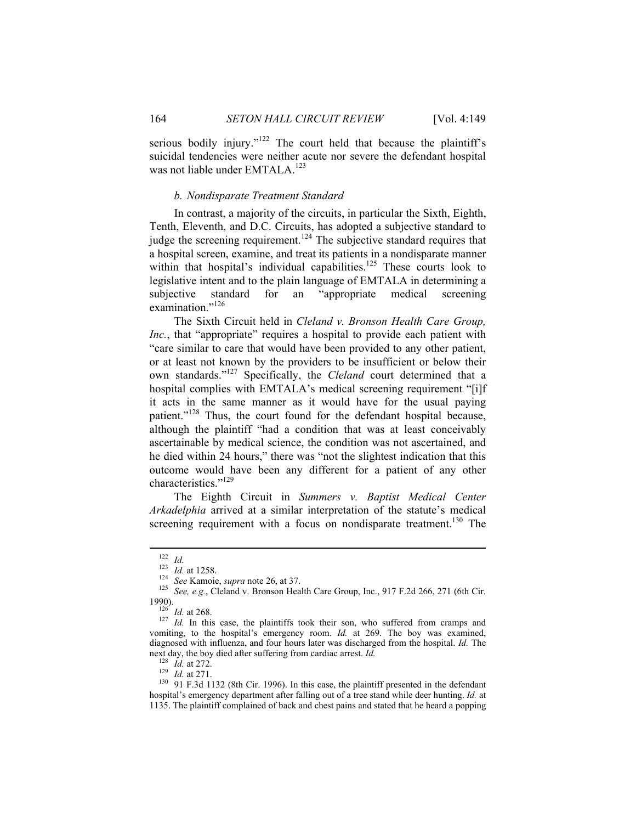serious bodily injury."<sup>122</sup> The court held that because the plaintiff's suicidal tendencies were neither acute nor severe the defendant hospital was not liable under EMTALA.<sup>123</sup>

# *b. Nondisparate Treatment Standard*

In contrast, a majority of the circuits, in particular the Sixth, Eighth, Tenth, Eleventh, and D.C. Circuits, has adopted a subjective standard to judge the screening requirement.<sup>124</sup> The subjective standard requires that a hospital screen, examine, and treat its patients in a nondisparate manner within that hospital's individual capabilities.<sup>125</sup> These courts look to legislative intent and to the plain language of EMTALA in determining a subjective standard for an "appropriate medical screening examination."<sup>126</sup>

The Sixth Circuit held in *Cleland v. Bronson Health Care Group, Inc.*, that "appropriate" requires a hospital to provide each patient with "care similar to care that would have been provided to any other patient, or at least not known by the providers to be insufficient or below their own standards."127 Specifically, the *Cleland* court determined that a hospital complies with EMTALA's medical screening requirement "[i]f it acts in the same manner as it would have for the usual paying patient."<sup>128</sup> Thus, the court found for the defendant hospital because, although the plaintiff "had a condition that was at least conceivably ascertainable by medical science, the condition was not ascertained, and he died within 24 hours," there was "not the slightest indication that this outcome would have been any different for a patient of any other characteristics."<sup>129</sup>

The Eighth Circuit in *Summers v. Baptist Medical Center Arkadelphia* arrived at a similar interpretation of the statute's medical screening requirement with a focus on nondisparate treatment.<sup>130</sup> The

<sup>1&</sup>lt;sup>22</sup> *Id.*<br><sup>123</sup> *Id.* at 1258.<br><sup>124</sup> See Kamoie, *supra* note 26, at 37.<br><sup>125</sup> See, e.g., Cleland v. Bronson Health Care Group, Inc., 917 F.2d 266, 271 (6th Cir.<br>1990).

<sup>&</sup>lt;sup>126</sup> *Id.* at 268. 127 *Id.* In this case, the plaintiffs took their son, who suffered from cramps and vomiting, to the hospital's emergency room. *Id.* at 269. The boy was examined, diagnosed with influenza, and four hours later was discharged from the hospital. *Id.* The next day, the boy died after suffering from cardiac arrest. *Id.* <sup>128</sup> *Id.* at 272.<br><sup>129</sup> *Id.* at 271.<br><sup>130</sup> 91 F.3d 1132 (8th Cir. 1996). In this case, the plaintiff presented in the defendant

hospital's emergency department after falling out of a tree stand while deer hunting. *Id.* at 1135. The plaintiff complained of back and chest pains and stated that he heard a popping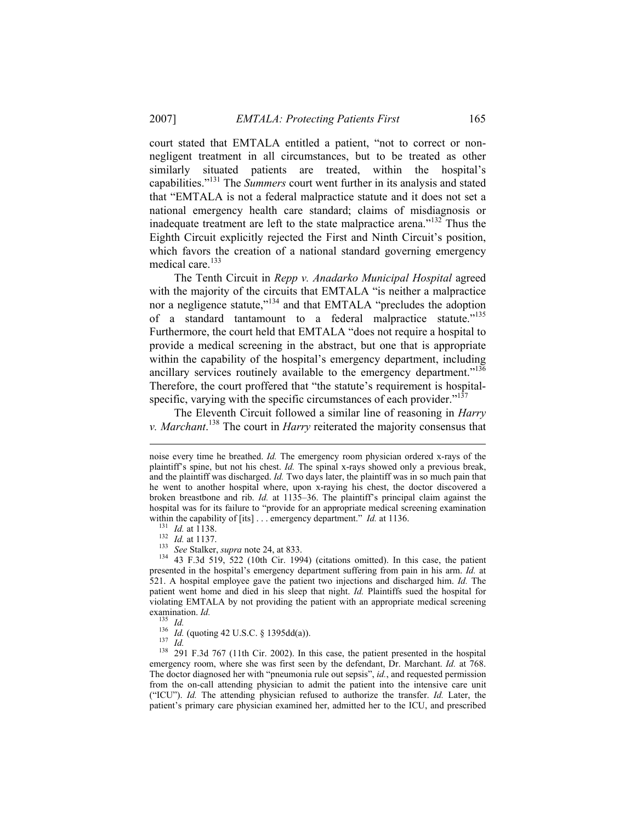court stated that EMTALA entitled a patient, "not to correct or nonnegligent treatment in all circumstances, but to be treated as other similarly situated patients are treated, within the hospital's capabilities."131 The *Summers* court went further in its analysis and stated that "EMTALA is not a federal malpractice statute and it does not set a national emergency health care standard; claims of misdiagnosis or inadequate treatment are left to the state malpractice arena."132 Thus the Eighth Circuit explicitly rejected the First and Ninth Circuit's position, which favors the creation of a national standard governing emergency medical care.<sup>133</sup>

The Tenth Circuit in *Repp v. Anadarko Municipal Hospital* agreed with the majority of the circuits that EMTALA "is neither a malpractice nor a negligence statute,"<sup>134</sup> and that EMTALA "precludes the adoption of a standard tantamount to a federal malpractice statute."<sup>135</sup> Furthermore, the court held that EMTALA "does not require a hospital to provide a medical screening in the abstract, but one that is appropriate within the capability of the hospital's emergency department, including ancillary services routinely available to the emergency department."<sup>136</sup> Therefore, the court proffered that "the statute's requirement is hospitalspecific, varying with the specific circumstances of each provider. $137$ 

The Eleventh Circuit followed a similar line of reasoning in *Harry v. Marchant*. 138 The court in *Harry* reiterated the majority consensus that

 $\overline{a}$ 

within the capability of [its] ... emergency department." *Id.* at 1136.<br><sup>131</sup> *Id.* at 1138.<br><sup>132</sup> *Id.* at 1137.<br><sup>133</sup> *See* Stalker, *supra* note 24, at 833.<br><sup>134</sup> 43 F.3d 519, 522 (10th Cir. 1994) (citations omitted). presented in the hospital's emergency department suffering from pain in his arm. *Id.* at 521. A hospital employee gave the patient two injections and discharged him. *Id.* The patient went home and died in his sleep that night. *Id.* Plaintiffs sued the hospital for violating EMTALA by not providing the patient with an appropriate medical screening

examination. *Id.* <sup>135</sup> *Id.* (quoting 42 U.S.C. § 1395dd(a)). <sup>136</sup> *Id.* (quoting 42 U.S.C. § 1395dd(a)). <sup>137</sup> *Id.* <sup>138</sup> 291 F.3d 767 (11th Cir. 2002). In this case, the patient presented in the hospital emergency room, where she was first seen by the defendant, Dr. Marchant. *Id.* at 768. The doctor diagnosed her with "pneumonia rule out sepsis", *id.*, and requested permission from the on-call attending physician to admit the patient into the intensive care unit ("ICU"). *Id.* The attending physician refused to authorize the transfer. *Id.* Later, the patient's primary care physician examined her, admitted her to the ICU, and prescribed

noise every time he breathed. *Id.* The emergency room physician ordered x-rays of the plaintiff's spine, but not his chest. *Id.* The spinal x-rays showed only a previous break, and the plaintiff was discharged. *Id.* Two days later, the plaintiff was in so much pain that he went to another hospital where, upon x-raying his chest, the doctor discovered a broken breastbone and rib. *Id.* at 1135–36. The plaintiff's principal claim against the hospital was for its failure to "provide for an appropriate medical screening examination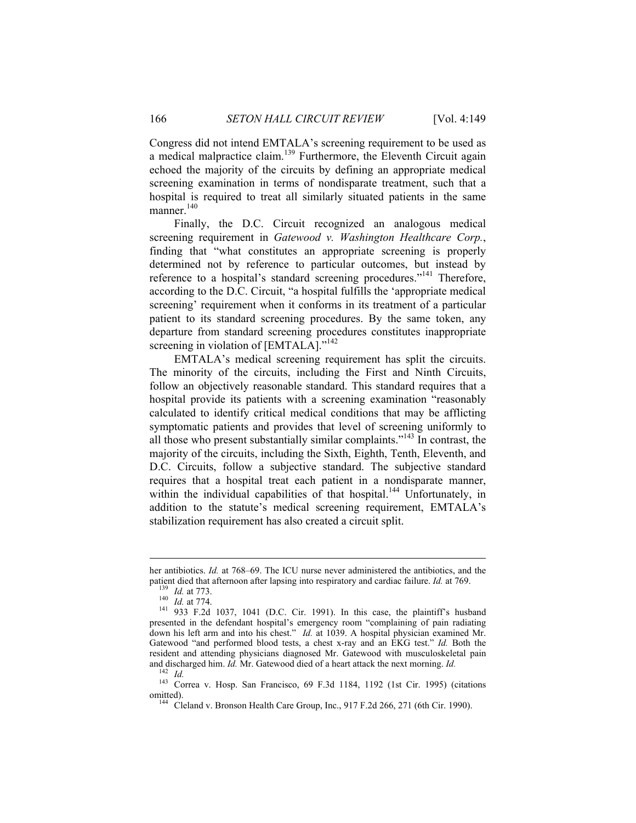Congress did not intend EMTALA's screening requirement to be used as a medical malpractice claim.<sup>139</sup> Furthermore, the Eleventh Circuit again echoed the majority of the circuits by defining an appropriate medical screening examination in terms of nondisparate treatment, such that a hospital is required to treat all similarly situated patients in the same manner.<sup>140</sup>

Finally, the D.C. Circuit recognized an analogous medical screening requirement in *Gatewood v. Washington Healthcare Corp.*, finding that "what constitutes an appropriate screening is properly determined not by reference to particular outcomes, but instead by reference to a hospital's standard screening procedures."<sup>141</sup> Therefore, according to the D.C. Circuit, "a hospital fulfills the 'appropriate medical screening' requirement when it conforms in its treatment of a particular patient to its standard screening procedures. By the same token, any departure from standard screening procedures constitutes inappropriate screening in violation of [EMTALA]."<sup>142</sup>

EMTALA's medical screening requirement has split the circuits. The minority of the circuits, including the First and Ninth Circuits, follow an objectively reasonable standard. This standard requires that a hospital provide its patients with a screening examination "reasonably calculated to identify critical medical conditions that may be afflicting symptomatic patients and provides that level of screening uniformly to all those who present substantially similar complaints. $143$  In contrast, the majority of the circuits, including the Sixth, Eighth, Tenth, Eleventh, and D.C. Circuits, follow a subjective standard. The subjective standard requires that a hospital treat each patient in a nondisparate manner, within the individual capabilities of that hospital.<sup>144</sup> Unfortunately, in addition to the statute's medical screening requirement, EMTALA's stabilization requirement has also created a circuit split.

 $\overline{a}$ 

her antibiotics. *Id.* at 768–69. The ICU nurse never administered the antibiotics, and the patient died that afternoon after lapsing into respiratory and cardiac failure. *Id.* at 769.<br><sup>139</sup> *Id.* at 773.<br><sup>140</sup> *Id.* at 774.<br><sup>141</sup> 933 F.2d 1037, 1041 (D.C. Cir. 1991). In this case, the plaintiff's husband

presented in the defendant hospital's emergency room "complaining of pain radiating down his left arm and into his chest." *Id.* at 1039. A hospital physician examined Mr. Gatewood "and performed blood tests, a chest x-ray and an EKG test." *Id.* Both the resident and attending physicians diagnosed Mr. Gatewood with musculoskeletal pain

and discharged him. *Id.* Mr. Gatewood died of a heart attack the next morning. *Id.* <sup>142</sup> *Id.* Correa v. Hosp. San Francisco, 69 F.3d 1184, 1192 (1st Cir. 1995) (citations omitted). 144 Cleland v. Bronson Health Care Group, Inc., 917 F.2d 266, 271 (6th Cir. 1990).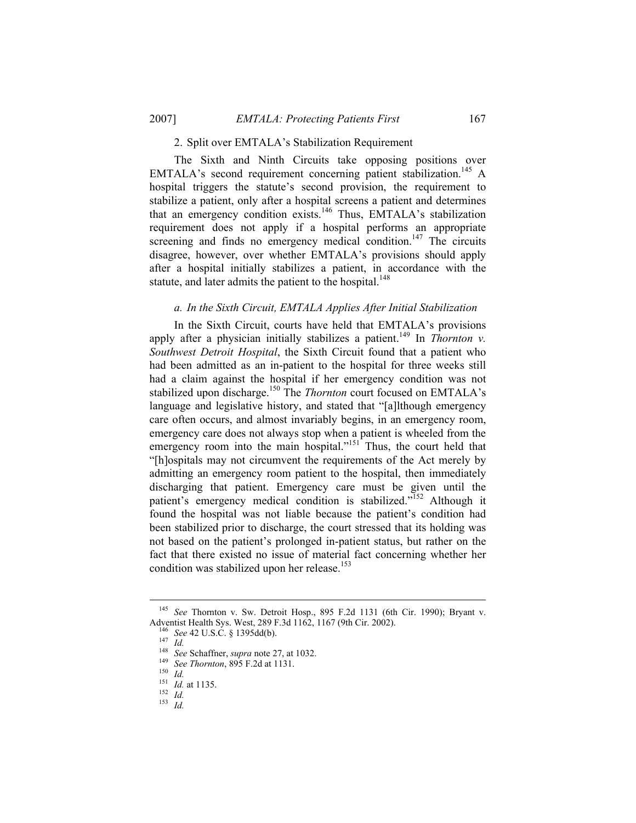# 2. Split over EMTALA's Stabilization Requirement

The Sixth and Ninth Circuits take opposing positions over EMTALA's second requirement concerning patient stabilization.<sup>145</sup> A hospital triggers the statute's second provision, the requirement to stabilize a patient, only after a hospital screens a patient and determines that an emergency condition exists.146 Thus, EMTALA's stabilization requirement does not apply if a hospital performs an appropriate screening and finds no emergency medical condition.<sup>147</sup> The circuits disagree, however, over whether EMTALA's provisions should apply after a hospital initially stabilizes a patient, in accordance with the statute, and later admits the patient to the hospital.<sup>148</sup>

## *a. In the Sixth Circuit, EMTALA Applies After Initial Stabilization*

In the Sixth Circuit, courts have held that EMTALA's provisions apply after a physician initially stabilizes a patient.<sup>149</sup> In *Thornton v. Southwest Detroit Hospital*, the Sixth Circuit found that a patient who had been admitted as an in-patient to the hospital for three weeks still had a claim against the hospital if her emergency condition was not stabilized upon discharge.<sup>150</sup> The *Thornton* court focused on EMTALA's language and legislative history, and stated that "[a]lthough emergency care often occurs, and almost invariably begins, in an emergency room, emergency care does not always stop when a patient is wheeled from the emergency room into the main hospital."<sup>151</sup> Thus, the court held that "[h]ospitals may not circumvent the requirements of the Act merely by admitting an emergency room patient to the hospital, then immediately discharging that patient. Emergency care must be given until the patient's emergency medical condition is stabilized."<sup>152</sup> Although it found the hospital was not liable because the patient's condition had been stabilized prior to discharge, the court stressed that its holding was not based on the patient's prolonged in-patient status, but rather on the fact that there existed no issue of material fact concerning whether her condition was stabilized upon her release.<sup>153</sup>

<sup>&</sup>lt;sup>145</sup> See Thornton v. Sw. Detroit Hosp., 895 F.2d 1131 (6th Cir. 1990); Bryant v. Adventist Health Sys. West, 289 F.3d 1162, 1167 (9th Cir. 2002).

<sup>&</sup>lt;sup>146</sup> *See* 42 U.S.C. § 1395dd(b).<br><sup>147</sup> *Id.*<br><sup>148</sup> *See* Schaffner, *supra* note 27, at 1032.<br><sup>149</sup> *See Thornton*, 895 F.2d at 1131.<br><sup>150</sup> *Id.*<br><sup>151</sup> *Id.* at 1135.<br><sup>152</sup> *Id.*<br>*15 Id.*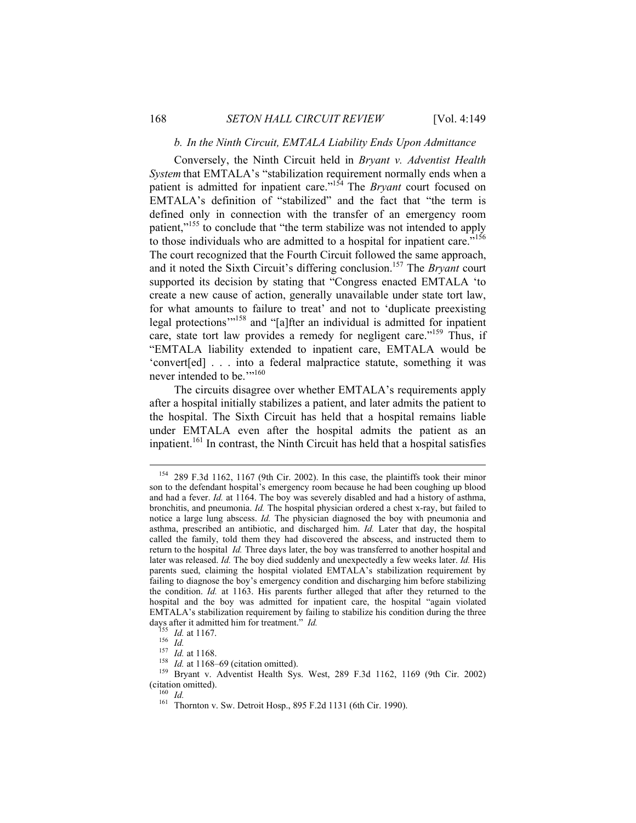# *b. In the Ninth Circuit, EMTALA Liability Ends Upon Admittance*

Conversely, the Ninth Circuit held in *Bryant v. Adventist Health System* that EMTALA's "stabilization requirement normally ends when a patient is admitted for inpatient care."154 The *Bryant* court focused on EMTALA's definition of "stabilized" and the fact that "the term is defined only in connection with the transfer of an emergency room patient,"<sup>155</sup> to conclude that "the term stabilize was not intended to apply to those individuals who are admitted to a hospital for inpatient care.<sup>7156</sup> The court recognized that the Fourth Circuit followed the same approach, and it noted the Sixth Circuit's differing conclusion.157 The *Bryant* court supported its decision by stating that "Congress enacted EMTALA 'to create a new cause of action, generally unavailable under state tort law, for what amounts to failure to treat' and not to 'duplicate preexisting legal protections"<sup>158</sup> and "[a]fter an individual is admitted for inpatient care, state tort law provides a remedy for negligent care."<sup>159</sup> Thus, if "EMTALA liability extended to inpatient care, EMTALA would be 'convert[ed] . . . into a federal malpractice statute, something it was never intended to be."<sup>160</sup>

The circuits disagree over whether EMTALA's requirements apply after a hospital initially stabilizes a patient, and later admits the patient to the hospital. The Sixth Circuit has held that a hospital remains liable under EMTALA even after the hospital admits the patient as an inpatient.<sup>161</sup> In contrast, the Ninth Circuit has held that a hospital satisfies

 <sup>154 289</sup> F.3d 1162, 1167 (9th Cir. 2002). In this case, the plaintiffs took their minor son to the defendant hospital's emergency room because he had been coughing up blood and had a fever. *Id.* at 1164. The boy was severely disabled and had a history of asthma, bronchitis, and pneumonia. *Id.* The hospital physician ordered a chest x-ray, but failed to notice a large lung abscess. *Id.* The physician diagnosed the boy with pneumonia and asthma, prescribed an antibiotic, and discharged him. *Id.* Later that day, the hospital called the family, told them they had discovered the abscess, and instructed them to return to the hospital *Id.* Three days later, the boy was transferred to another hospital and later was released. *Id.* The boy died suddenly and unexpectedly a few weeks later. *Id.* His parents sued, claiming the hospital violated EMTALA's stabilization requirement by failing to diagnose the boy's emergency condition and discharging him before stabilizing the condition. *Id.* at 1163. His parents further alleged that after they returned to the hospital and the boy was admitted for inpatient care, the hospital "again violated EMTALA's stabilization requirement by failing to stabilize his condition during the three

days after it admitted him for treatment." *Id.*<br><sup>155</sup> *Id.* at 1167.<br><sup>156</sup> *Id.*<br><sup>157</sup> *Id.* at 1168.<br><sup>157</sup> *Id.* at 1168-69 (citation omitted).<br><sup>159</sup> Bryant v. Adventist Health Sys. West, 289 F.3d 1162, 1169 (9th Cir. 2 (citation omitted). 160 *Id.* 161 Thornton v. Sw. Detroit Hosp., 895 F.2d 1131 (6th Cir. 1990).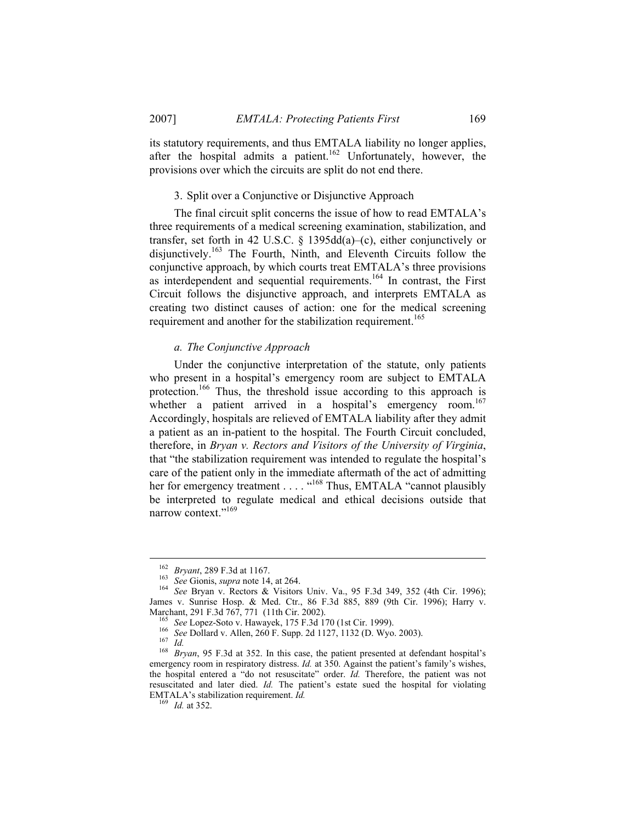its statutory requirements, and thus EMTALA liability no longer applies, after the hospital admits a patient.<sup>162</sup> Unfortunately, however, the provisions over which the circuits are split do not end there.

#### 3. Split over a Conjunctive or Disjunctive Approach

The final circuit split concerns the issue of how to read EMTALA's three requirements of a medical screening examination, stabilization, and transfer, set forth in 42 U.S.C. § 1395dd(a)–(c), either conjunctively or disjunctively.163 The Fourth, Ninth, and Eleventh Circuits follow the conjunctive approach, by which courts treat EMTALA's three provisions as interdependent and sequential requirements.<sup>164</sup> In contrast, the First Circuit follows the disjunctive approach, and interprets EMTALA as creating two distinct causes of action: one for the medical screening requirement and another for the stabilization requirement.<sup>165</sup>

#### *a. The Conjunctive Approach*

Under the conjunctive interpretation of the statute, only patients who present in a hospital's emergency room are subject to EMTALA protection.<sup>166</sup> Thus, the threshold issue according to this approach is whether a patient arrived in a hospital's emergency room.<sup>167</sup> Accordingly, hospitals are relieved of EMTALA liability after they admit a patient as an in-patient to the hospital. The Fourth Circuit concluded, therefore, in *Bryan v. Rectors and Visitors of the University of Virginia*, that "the stabilization requirement was intended to regulate the hospital's care of the patient only in the immediate aftermath of the act of admitting her for emergency treatment . . . . "<sup>168</sup> Thus, EMTALA "cannot plausibly" be interpreted to regulate medical and ethical decisions outside that narrow context."<sup>169</sup>

<sup>162</sup> *Bryant*, 289 F.3d at 1167. 163 *See* Gionis, *supra* note 14, at 264. 164 *See* Bryan v. Rectors & Visitors Univ. Va., 95 F.3d 349, 352 (4th Cir. 1996); James v. Sunrise Hosp. & Med. Ctr., 86 F.3d 885, 889 (9th Cir. 1996); Harry v.

<sup>&</sup>lt;sup>165</sup> See Lopez-Soto v. Hawayek, 175 F.3d 170 (1st Cir. 1999).<br><sup>166</sup> See Dollard v. Allen, 260 F. Supp. 2d 1127, 1132 (D. Wyo. 2003).<br><sup>167</sup> Id.<br><sup>168</sup> Bryan, 95 F.3d at 352. In this case, the patient presented at defendant emergency room in respiratory distress. *Id.* at 350. Against the patient's family's wishes, the hospital entered a "do not resuscitate" order. *Id.* Therefore, the patient was not resuscitated and later died. *Id.* The patient's estate sued the hospital for violating EMTALA's stabilization requirement. *Id.* <sup>169</sup> *Id.* at 352.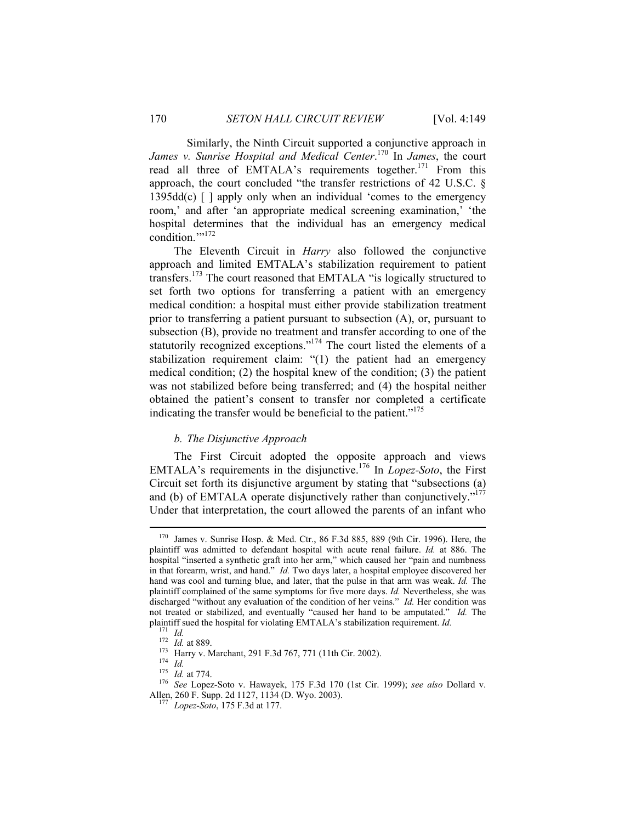Similarly, the Ninth Circuit supported a conjunctive approach in *James v. Sunrise Hospital and Medical Center*. 170 In *James*, the court read all three of EMTALA's requirements together.<sup>171</sup> From this approach, the court concluded "the transfer restrictions of 42 U.S.C. §  $1395\text{dd}(c)$  [ ] apply only when an individual 'comes to the emergency room,' and after 'an appropriate medical screening examination,' 'the hospital determines that the individual has an emergency medical condition.""<sup>172</sup>

The Eleventh Circuit in *Harry* also followed the conjunctive approach and limited EMTALA's stabilization requirement to patient transfers.173 The court reasoned that EMTALA "is logically structured to set forth two options for transferring a patient with an emergency medical condition: a hospital must either provide stabilization treatment prior to transferring a patient pursuant to subsection (A), or, pursuant to subsection (B), provide no treatment and transfer according to one of the statutorily recognized exceptions."<sup>174</sup> The court listed the elements of a stabilization requirement claim: "(1) the patient had an emergency medical condition; (2) the hospital knew of the condition; (3) the patient was not stabilized before being transferred; and (4) the hospital neither obtained the patient's consent to transfer nor completed a certificate indicating the transfer would be beneficial to the patient."<sup>175</sup>

# *b. The Disjunctive Approach*

The First Circuit adopted the opposite approach and views EMTALA's requirements in the disjunctive.176 In *Lopez-Soto*, the First Circuit set forth its disjunctive argument by stating that "subsections (a) and (b) of EMTALA operate disjunctively rather than conjunctively."<sup>177</sup> Under that interpretation, the court allowed the parents of an infant who

 <sup>170</sup> James v. Sunrise Hosp. & Med. Ctr., 86 F.3d 885, 889 (9th Cir. 1996). Here, the plaintiff was admitted to defendant hospital with acute renal failure. *Id.* at 886. The hospital "inserted a synthetic graft into her arm," which caused her "pain and numbness in that forearm, wrist, and hand." *Id.* Two days later, a hospital employee discovered her hand was cool and turning blue, and later, that the pulse in that arm was weak. *Id.* The plaintiff complained of the same symptoms for five more days. *Id.* Nevertheless, she was discharged "without any evaluation of the condition of her veins." *Id.* Her condition was not treated or stabilized, and eventually "caused her hand to be amputated." *Id.* The plaintiff sued the hospital for violating EMTALA's stabilization requirement. *Id.*<br><sup>171</sup> *Id.*<br>*172 Id.* at 889.<br><sup>173</sup> Harry v. Marchant, 291 F.3d 767, 771 (11th Cir. 2002).<br><sup>174</sup> *Id.*<br>*175 Id.* at 774.<br><sup>175</sup> *See*

Allen, 260 F. Supp. 2d 1127, 1134 (D. Wyo. 2003). 177 *Lopez-Soto*, 175 F.3d at 177.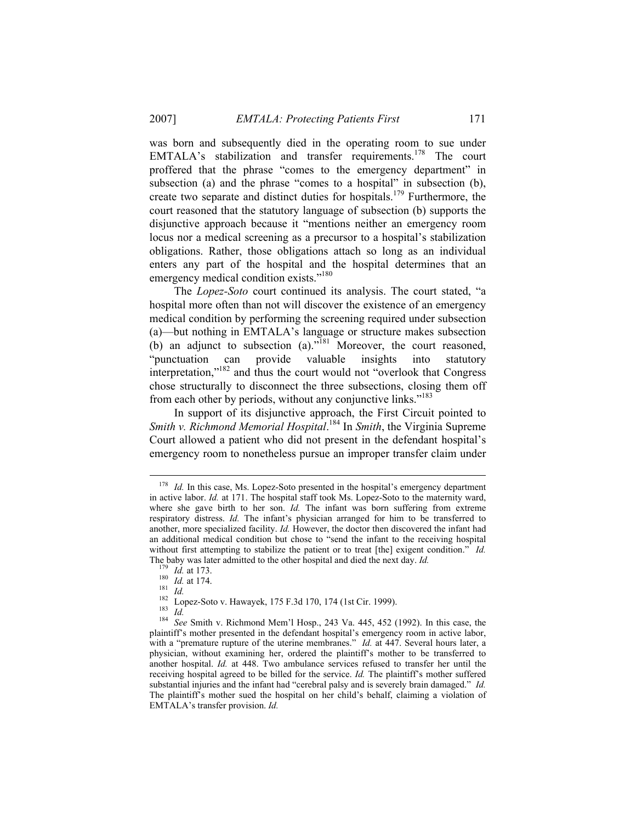was born and subsequently died in the operating room to sue under EMTALA's stabilization and transfer requirements.<sup>178</sup> The court proffered that the phrase "comes to the emergency department" in subsection (a) and the phrase "comes to a hospital" in subsection (b), create two separate and distinct duties for hospitals.<sup>179</sup> Furthermore, the court reasoned that the statutory language of subsection (b) supports the disjunctive approach because it "mentions neither an emergency room locus nor a medical screening as a precursor to a hospital's stabilization obligations. Rather, those obligations attach so long as an individual enters any part of the hospital and the hospital determines that an emergency medical condition exists."<sup>180</sup>

The *Lopez-Soto* court continued its analysis. The court stated, "a hospital more often than not will discover the existence of an emergency medical condition by performing the screening required under subsection (a)—but nothing in EMTALA's language or structure makes subsection (b) an adjunct to subsection (a)."181 Moreover, the court reasoned, "punctuation can provide valuable insights into statutory interpretation,"182 and thus the court would not "overlook that Congress chose structurally to disconnect the three subsections, closing them off from each other by periods, without any conjunctive links."<sup>183</sup>

In support of its disjunctive approach, the First Circuit pointed to *Smith v. Richmond Memorial Hospital*. 184 In *Smith*, the Virginia Supreme Court allowed a patient who did not present in the defendant hospital's emergency room to nonetheless pursue an improper transfer claim under

<sup>&</sup>lt;sup>178</sup> *Id.* In this case, Ms. Lopez-Soto presented in the hospital's emergency department in active labor. *Id.* at 171. The hospital staff took Ms. Lopez-Soto to the maternity ward, where she gave birth to her son. *Id.* The infant was born suffering from extreme respiratory distress. *Id.* The infant's physician arranged for him to be transferred to another, more specialized facility. *Id.* However, the doctor then discovered the infant had an additional medical condition but chose to "send the infant to the receiving hospital without first attempting to stabilize the patient or to treat [the] exigent condition." *Id.*  The baby was later admitted to the other hospital and died the next day. *Id.*<br><sup>179</sup> *Id.* at 173.<br><sup>180</sup> *Id.* at 174.<br><sup>181</sup> *Id.*<br><sup>181</sup> *Id.*<br><sup>182</sup> Lopez-Soto v. Hawayek, 175 F.3d 170, 174 (1st Cir. 1999).<br><sup>183</sup> *Id.*<br><sup>1</sup>

plaintiff's mother presented in the defendant hospital's emergency room in active labor, with a "premature rupture of the uterine membranes." *Id.* at 447. Several hours later, a physician, without examining her, ordered the plaintiff's mother to be transferred to another hospital. *Id.* at 448. Two ambulance services refused to transfer her until the receiving hospital agreed to be billed for the service. *Id.* The plaintiff's mother suffered substantial injuries and the infant had "cerebral palsy and is severely brain damaged." *Id.*  The plaintiff's mother sued the hospital on her child's behalf, claiming a violation of EMTALA's transfer provision. *Id.*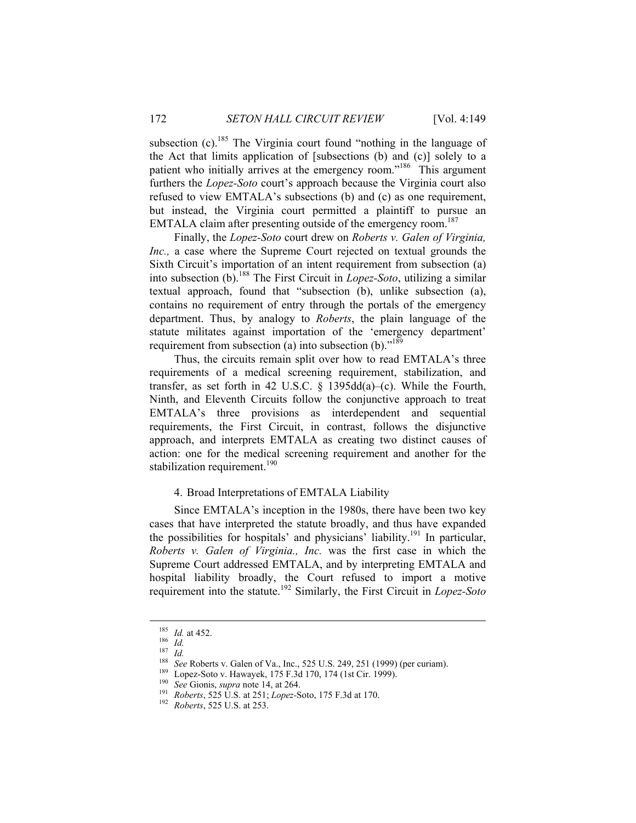subsection  $(c)$ <sup>185</sup>. The Virginia court found "nothing in the language of the Act that limits application of [subsections (b) and (c)] solely to a patient who initially arrives at the emergency room."<sup>186</sup> This argument furthers the *Lopez-Soto* court's approach because the Virginia court also refused to view EMTALA's subsections (b) and (c) as one requirement, but instead, the Virginia court permitted a plaintiff to pursue an EMTALA claim after presenting outside of the emergency room.<sup>187</sup>

Finally, the *Lopez-Soto* court drew on *Roberts v. Galen of Virginia, Inc.,* a case where the Supreme Court rejected on textual grounds the Sixth Circuit's importation of an intent requirement from subsection (a) into subsection (b).188 The First Circuit in *Lopez-Soto*, utilizing a similar textual approach, found that "subsection (b), unlike subsection (a), contains no requirement of entry through the portals of the emergency department. Thus, by analogy to *Roberts*, the plain language of the statute militates against importation of the 'emergency department' requirement from subsection (a) into subsection (b). $"189"$ 

Thus, the circuits remain split over how to read EMTALA's three requirements of a medical screening requirement, stabilization, and transfer, as set forth in 42 U.S.C. § 1395dd(a)–(c). While the Fourth, Ninth, and Eleventh Circuits follow the conjunctive approach to treat EMTALA's three provisions as interdependent and sequential requirements, the First Circuit, in contrast, follows the disjunctive approach, and interprets EMTALA as creating two distinct causes of action: one for the medical screening requirement and another for the stabilization requirement.<sup>190</sup>

# 4. Broad Interpretations of EMTALA Liability

Since EMTALA's inception in the 1980s, there have been two key cases that have interpreted the statute broadly, and thus have expanded the possibilities for hospitals' and physicians' liability.<sup>191</sup> In particular, *Roberts v. Galen of Virginia., Inc.* was the first case in which the Supreme Court addressed EMTALA, and by interpreting EMTALA and hospital liability broadly, the Court refused to import a motive requirement into the statute.192 Similarly, the First Circuit in *Lopez-Soto*

<sup>&</sup>lt;sup>185</sup> *Id.* at 452.<br>
<sup>186</sup> *Id.*<br>
<sup>187</sup> *Id.*<br>
<sup>187</sup> *Id.*<br>
<sup>188</sup> *See* Roberts v. Galen of Va., Inc., 525 U.S. 249, 251 (1999) (per curiam).<br>
<sup>189</sup> Lopez-Soto v. Hawayek, 175 F.3d 170, 174 (1st Cir. 1999).<br>
<sup>190</sup> *See* G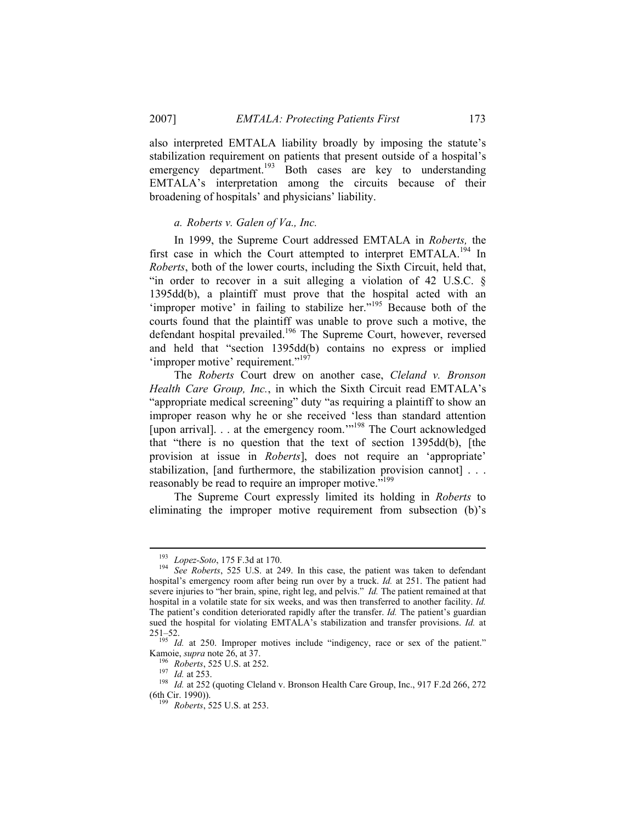also interpreted EMTALA liability broadly by imposing the statute's stabilization requirement on patients that present outside of a hospital's emergency department.<sup>193</sup> Both cases are key to understanding EMTALA's interpretation among the circuits because of their broadening of hospitals' and physicians' liability.

# *a. Roberts v. Galen of Va., Inc.*

In 1999, the Supreme Court addressed EMTALA in *Roberts,* the first case in which the Court attempted to interpret EMTALA.<sup>194</sup> In *Roberts*, both of the lower courts, including the Sixth Circuit, held that, "in order to recover in a suit alleging a violation of 42 U.S.C. § 1395dd(b), a plaintiff must prove that the hospital acted with an 'improper motive' in failing to stabilize her."<sup>195</sup> Because both of the courts found that the plaintiff was unable to prove such a motive, the defendant hospital prevailed.<sup>196</sup> The Supreme Court, however, reversed and held that "section 1395dd(b) contains no express or implied 'improper motive' requirement."<sup>197</sup>

The *Roberts* Court drew on another case, *Cleland v. Bronson Health Care Group, Inc.*, in which the Sixth Circuit read EMTALA's "appropriate medical screening" duty "as requiring a plaintiff to show an improper reason why he or she received 'less than standard attention [upon arrival]. . . at the emergency room."<sup>198</sup> The Court acknowledged that "there is no question that the text of section 1395dd(b), [the provision at issue in *Roberts*], does not require an 'appropriate' stabilization, [and furthermore, the stabilization provision cannot] . . . reasonably be read to require an improper motive."<sup>199</sup>

The Supreme Court expressly limited its holding in *Roberts* to eliminating the improper motive requirement from subsection (b)'s

<sup>&</sup>lt;sup>193</sup> Lopez-Soto, 175 F.3d at 170.<br><sup>194</sup> See Roberts, 525 U.S. at 249. In this case, the patient was taken to defendant hospital's emergency room after being run over by a truck. *Id.* at 251. The patient had severe injuries to "her brain, spine, right leg, and pelvis." *Id.* The patient remained at that hospital in a volatile state for six weeks, and was then transferred to another facility. *Id.*  The patient's condition deteriorated rapidly after the transfer. *Id.* The patient's guardian sued the hospital for violating EMTALA's stabilization and transfer provisions. *Id.* at

<sup>251–52. 195</sup> *Id.* at 250. Improper motives include "indigency, race or sex of the patient."

Kamoie, *supra* note 26, at 37.<br><sup>196</sup> Roberts, 525 U.S. at 252.<br><sup>197</sup> *Id.* at 253.<br><sup>198</sup> *Id.* at 252 (quoting Cleland v. Bronson Health Care Group, Inc., 917 F.2d 266, 272 (6th Cir. 1990)). 199 *Roberts*, 525 U.S. at 253.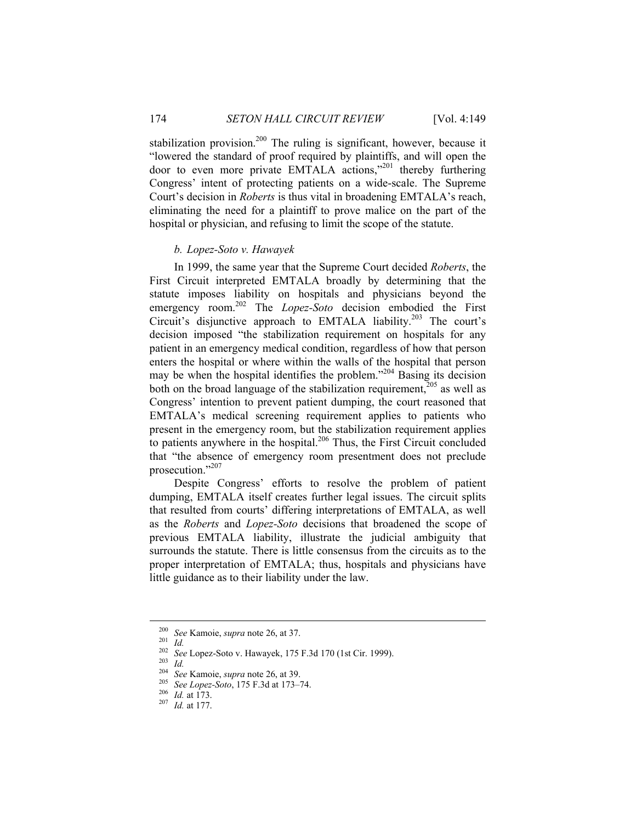stabilization provision.<sup>200</sup> The ruling is significant, however, because it "lowered the standard of proof required by plaintiffs, and will open the door to even more private EMTALA actions,"201 thereby furthering Congress' intent of protecting patients on a wide-scale. The Supreme Court's decision in *Roberts* is thus vital in broadening EMTALA's reach, eliminating the need for a plaintiff to prove malice on the part of the hospital or physician, and refusing to limit the scope of the statute.

## *b. Lopez-Soto v. Hawayek*

In 1999, the same year that the Supreme Court decided *Roberts*, the First Circuit interpreted EMTALA broadly by determining that the statute imposes liability on hospitals and physicians beyond the emergency room.<sup>202</sup> The *Lopez-Soto* decision embodied the First Circuit's disjunctive approach to EMTALA liability.<sup>203</sup> The court's decision imposed "the stabilization requirement on hospitals for any patient in an emergency medical condition, regardless of how that person enters the hospital or where within the walls of the hospital that person may be when the hospital identifies the problem."204 Basing its decision both on the broad language of the stabilization requirement,  $205$  as well as Congress' intention to prevent patient dumping, the court reasoned that EMTALA's medical screening requirement applies to patients who present in the emergency room, but the stabilization requirement applies to patients anywhere in the hospital.<sup>206</sup> Thus, the First Circuit concluded that "the absence of emergency room presentment does not preclude prosecution."207

Despite Congress' efforts to resolve the problem of patient dumping, EMTALA itself creates further legal issues. The circuit splits that resulted from courts' differing interpretations of EMTALA, as well as the *Roberts* and *Lopez-Soto* decisions that broadened the scope of previous EMTALA liability, illustrate the judicial ambiguity that surrounds the statute. There is little consensus from the circuits as to the proper interpretation of EMTALA; thus, hospitals and physicians have little guidance as to their liability under the law.

<sup>&</sup>lt;sup>200</sup> *See* Kamoie, *supra* note 26, at 37.<br>
<sup>201</sup> *Id.*<br>
<sup>202</sup> *See* Lopez-Soto v. Hawayek, 175 F.3d 170 (1st Cir. 1999).<br>
<sup>203</sup> *Id.*<br>
<sup>204</sup> *See* Kamoie, *supra* note 26, at 39.<br>
<sup>205</sup> *See Lopez-Soto*, 175 F.3d at 173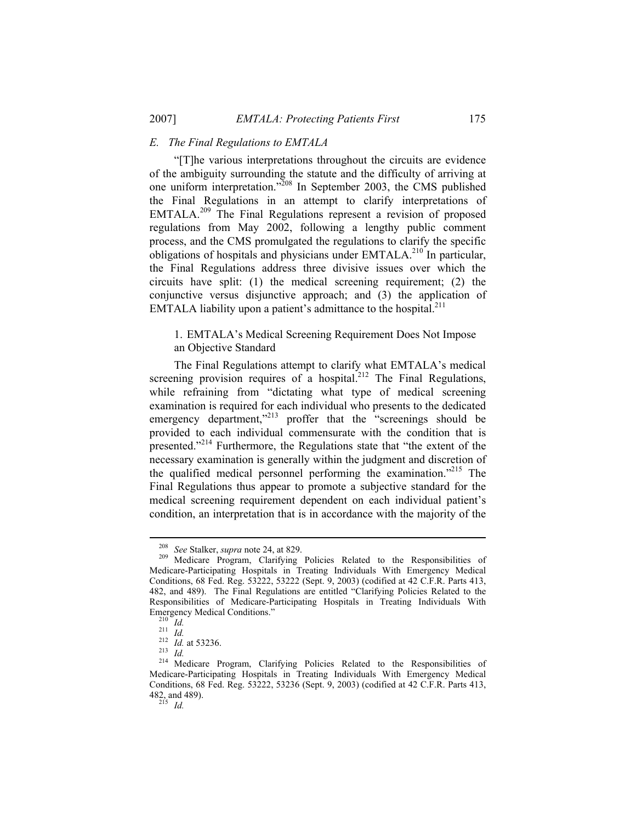# *E. The Final Regulations to EMTALA*

"[T]he various interpretations throughout the circuits are evidence of the ambiguity surrounding the statute and the difficulty of arriving at one uniform interpretation."208 In September 2003, the CMS published the Final Regulations in an attempt to clarify interpretations of EMTALA.209 The Final Regulations represent a revision of proposed regulations from May 2002, following a lengthy public comment process, and the CMS promulgated the regulations to clarify the specific obligations of hospitals and physicians under  $EMTALA<sup>210</sup>$  In particular, the Final Regulations address three divisive issues over which the circuits have split: (1) the medical screening requirement; (2) the conjunctive versus disjunctive approach; and (3) the application of EMTALA liability upon a patient's admittance to the hospital.<sup>211</sup>

# 1. EMTALA's Medical Screening Requirement Does Not Impose an Objective Standard

The Final Regulations attempt to clarify what EMTALA's medical screening provision requires of a hospital.<sup>212</sup> The Final Regulations, while refraining from "dictating what type of medical screening examination is required for each individual who presents to the dedicated emergency department,"<sup>213</sup> proffer that the "screenings should be provided to each individual commensurate with the condition that is presented."<sup>214</sup> Furthermore, the Regulations state that "the extent of the necessary examination is generally within the judgment and discretion of the qualified medical personnel performing the examination."215 The Final Regulations thus appear to promote a subjective standard for the medical screening requirement dependent on each individual patient's condition, an interpretation that is in accordance with the majority of the

<sup>208</sup> *See* Stalker, *supra* note 24, at 829. 209 Medicare Program, Clarifying Policies Related to the Responsibilities of Medicare-Participating Hospitals in Treating Individuals With Emergency Medical Conditions, 68 Fed. Reg. 53222, 53222 (Sept. 9, 2003) (codified at 42 C.F.R. Parts 413, 482, and 489). The Final Regulations are entitled "Clarifying Policies Related to the Responsibilities of Medicare-Participating Hospitals in Treating Individuals With

<sup>210</sup> *Id.* <sup>211</sup> *Id.* <sup>211</sup> *Id.* <sup>212</sup> *Id.* at 53236. <sup>213</sup> *Id.* at 53236. <sup>213</sup> *Id.* 214 Medicare Program, Clarifying Policies Related to the Responsibilities of <sup>214</sup> Medicare Program, Clarifying Policies Related to Medicare-Participating Hospitals in Treating Individuals With Emergency Medical Conditions, 68 Fed. Reg. 53222, 53236 (Sept. 9, 2003) (codified at 42 C.F.R. Parts 413, 482, and 489). 215 *Id.*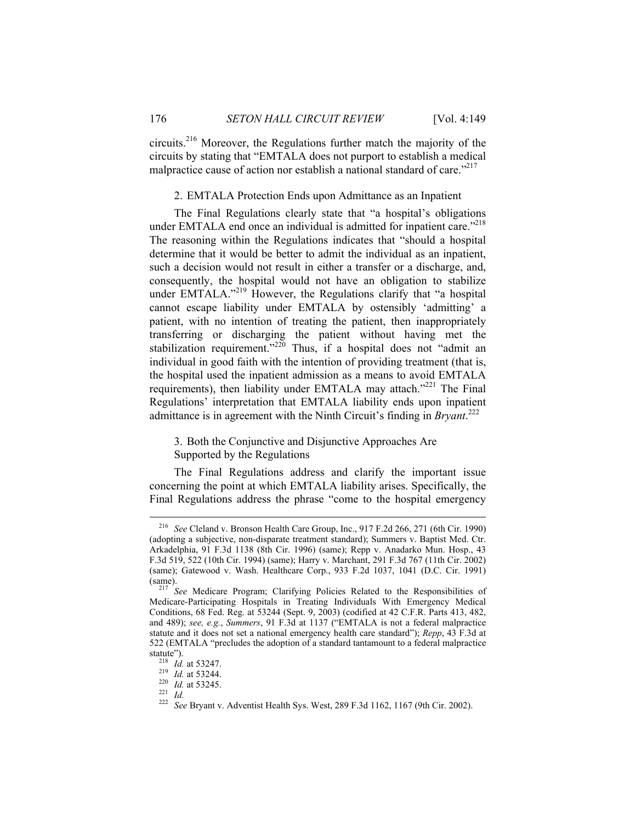circuits.216 Moreover, the Regulations further match the majority of the circuits by stating that "EMTALA does not purport to establish a medical malpractice cause of action nor establish a national standard of care."<sup>217</sup>

# 2. EMTALA Protection Ends upon Admittance as an Inpatient

The Final Regulations clearly state that "a hospital's obligations under EMTALA end once an individual is admitted for inpatient care."<sup>218</sup> The reasoning within the Regulations indicates that "should a hospital determine that it would be better to admit the individual as an inpatient, such a decision would not result in either a transfer or a discharge, and, consequently, the hospital would not have an obligation to stabilize under EMTALA."<sup>219</sup> However, the Regulations clarify that "a hospital cannot escape liability under EMTALA by ostensibly 'admitting' a patient, with no intention of treating the patient, then inappropriately transferring or discharging the patient without having met the stabilization requirement.<sup> $220$ </sup> Thus, if a hospital does not "admit an individual in good faith with the intention of providing treatment (that is, the hospital used the inpatient admission as a means to avoid EMTALA requirements), then liability under EMTALA may attach."<sup>221</sup> The Final Regulations' interpretation that EMTALA liability ends upon inpatient admittance is in agreement with the Ninth Circuit's finding in *Bryant*. 222

3. Both the Conjunctive and Disjunctive Approaches Are Supported by the Regulations

The Final Regulations address and clarify the important issue concerning the point at which EMTALA liability arises. Specifically, the Final Regulations address the phrase "come to the hospital emergency

 <sup>216</sup> *See* Cleland v. Bronson Health Care Group, Inc., 917 F.2d 266, 271 (6th Cir. 1990) (adopting a subjective, non-disparate treatment standard); Summers v. Baptist Med. Ctr. Arkadelphia, 91 F.3d 1138 (8th Cir. 1996) (same); Repp v. Anadarko Mun. Hosp., 43 F.3d 519, 522 (10th Cir. 1994) (same); Harry v. Marchant, 291 F.3d 767 (11th Cir. 2002) (same); Gatewood v. Wash. Healthcare Corp., 933 F.2d 1037, 1041 (D.C. Cir. 1991) (same). 217 *See* Medicare Program; Clarifying Policies Related to the Responsibilities of

Medicare-Participating Hospitals in Treating Individuals With Emergency Medical Conditions, 68 Fed. Reg. at 53244 (Sept. 9, 2003) (codified at 42 C.F.R. Parts 413, 482, and 489); *see, e.g.*, *Summers*, 91 F.3d at 1137 ("EMTALA is not a federal malpractice statute and it does not set a national emergency health care standard"); *Repp*, 43 F.3d at 522 (EMTALA "precludes the adoption of a standard tantamount to a federal malpractice<br>statute").<br> $\frac{218}{Id}$  *Id.* at 53247.<br> $\frac{219}{Id}$  *Id.* at 53244.

statute"). 218 *Id.* at 53247. 219 *Id.* at 53244. 220 *Id.* at 53245. 221 *Id.* <sup>222</sup> *See* Bryant v. Adventist Health Sys. West, 289 F.3d 1162, 1167 (9th Cir. 2002).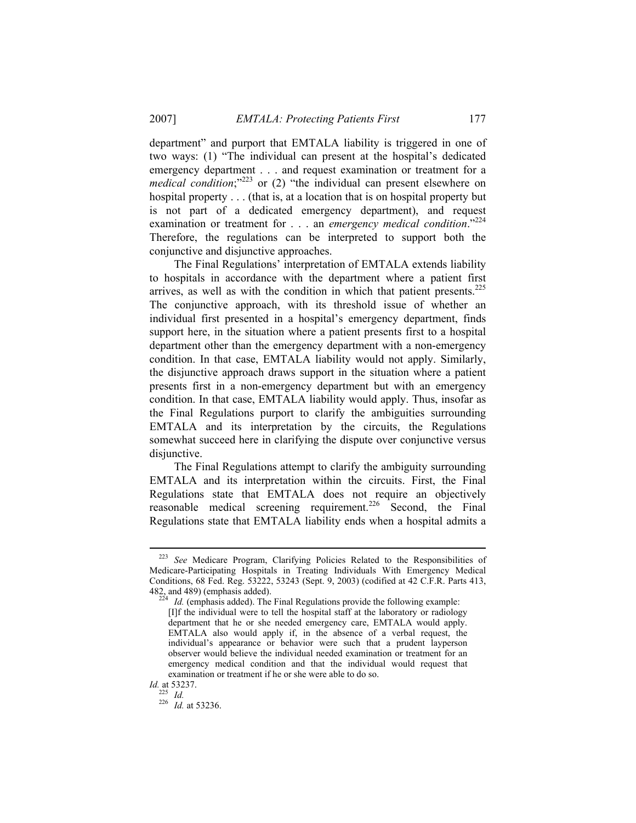department" and purport that EMTALA liability is triggered in one of two ways: (1) "The individual can present at the hospital's dedicated emergency department . . . and request examination or treatment for a *medical condition*;<sup>"223</sup> or (2) "the individual can present elsewhere on hospital property . . . (that is, at a location that is on hospital property but is not part of a dedicated emergency department), and request examination or treatment for . . . an *emergency medical condition*."<sup>224</sup> Therefore, the regulations can be interpreted to support both the conjunctive and disjunctive approaches.

The Final Regulations' interpretation of EMTALA extends liability to hospitals in accordance with the department where a patient first arrives, as well as with the condition in which that patient presents.<sup>225</sup> The conjunctive approach, with its threshold issue of whether an individual first presented in a hospital's emergency department, finds support here, in the situation where a patient presents first to a hospital department other than the emergency department with a non-emergency condition. In that case, EMTALA liability would not apply. Similarly, the disjunctive approach draws support in the situation where a patient presents first in a non-emergency department but with an emergency condition. In that case, EMTALA liability would apply. Thus, insofar as the Final Regulations purport to clarify the ambiguities surrounding EMTALA and its interpretation by the circuits, the Regulations somewhat succeed here in clarifying the dispute over conjunctive versus disjunctive.

The Final Regulations attempt to clarify the ambiguity surrounding EMTALA and its interpretation within the circuits. First, the Final Regulations state that EMTALA does not require an objectively reasonable medical screening requirement.<sup>226</sup> Second, the Final Regulations state that EMTALA liability ends when a hospital admits a

 <sup>223</sup> *See* Medicare Program, Clarifying Policies Related to the Responsibilities of Medicare-Participating Hospitals in Treating Individuals With Emergency Medical Conditions, 68 Fed. Reg. 53222, 53243 (Sept. 9, 2003) (codified at 42 C.F.R. Parts 413, 482, and 489) (emphasis added).<br><sup>224</sup> *Id.* (emphasis added). The Final Regulations provide the following example:

<sup>[</sup>I]f the individual were to tell the hospital staff at the laboratory or radiology department that he or she needed emergency care, EMTALA would apply. EMTALA also would apply if, in the absence of a verbal request, the individual's appearance or behavior were such that a prudent layperson observer would believe the individual needed examination or treatment for an emergency medical condition and that the individual would request that examination or treatment if he or she were able to do so.

*Id.* at 53237.

<sup>225</sup> *Id.* <sup>226</sup> *Id.* at 53236.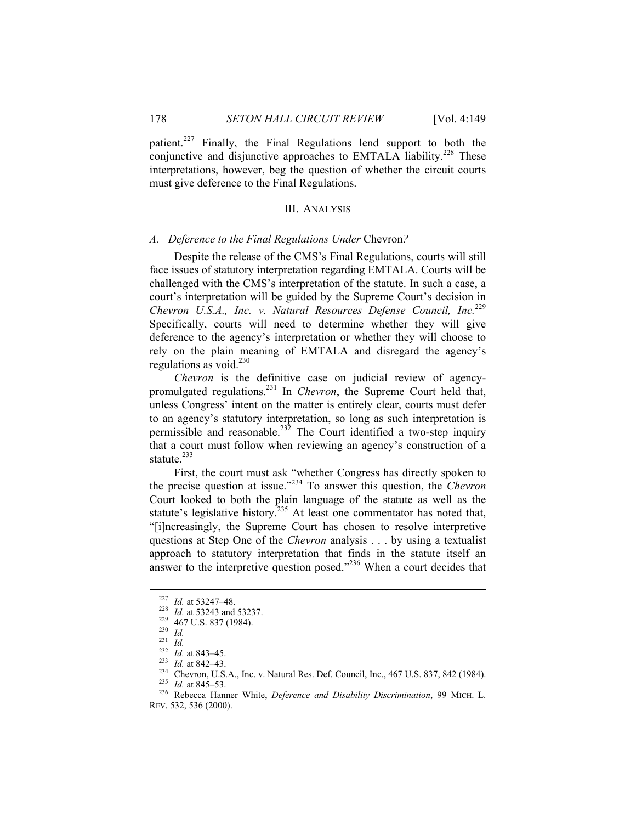patient.<sup>227</sup> Finally, the Final Regulations lend support to both the conjunctive and disjunctive approaches to EMTALA liability.<sup>228</sup> These interpretations, however, beg the question of whether the circuit courts must give deference to the Final Regulations.

#### III. ANALYSIS

#### *A. Deference to the Final Regulations Under* Chevron*?*

Despite the release of the CMS's Final Regulations, courts will still face issues of statutory interpretation regarding EMTALA. Courts will be challenged with the CMS's interpretation of the statute. In such a case, a court's interpretation will be guided by the Supreme Court's decision in *Chevron U.S.A., Inc. v. Natural Resources Defense Council, Inc.*<sup>229</sup> Specifically, courts will need to determine whether they will give deference to the agency's interpretation or whether they will choose to rely on the plain meaning of EMTALA and disregard the agency's regulations as void. $230$ 

*Chevron* is the definitive case on judicial review of agencypromulgated regulations.231 In *Chevron*, the Supreme Court held that, unless Congress' intent on the matter is entirely clear, courts must defer to an agency's statutory interpretation, so long as such interpretation is permissible and reasonable.<sup>232</sup> The Court identified a two-step inquiry that a court must follow when reviewing an agency's construction of a statute.<sup>233</sup>

First, the court must ask "whether Congress has directly spoken to the precise question at issue."234 To answer this question, the *Chevron* Court looked to both the plain language of the statute as well as the statute's legislative history.<sup>235</sup> At least one commentator has noted that, "[i]ncreasingly, the Supreme Court has chosen to resolve interpretive questions at Step One of the *Chevron* analysis . . . by using a textualist approach to statutory interpretation that finds in the statute itself an answer to the interpretive question posed."<sup>236</sup> When a court decides that

<sup>&</sup>lt;sup>227</sup> *Id.* at 53247–48.<br>
<sup>228</sup> *Id.* at 53243 and 53237.<br>
<sup>229</sup> 467 U.S. 837 (1984).<br>
<sup>230</sup> *Id.*<br>
<sup>231</sup> *Id.*<br>
<sup>231</sup> *Id.* at 843–45.<br>
<sup>233</sup> *Id.* at 842–43.<br>
<sup>234</sup> Chevron, U.S.A., Inc. v. Natural Res. Def. Council, In REV. 532, 536 (2000).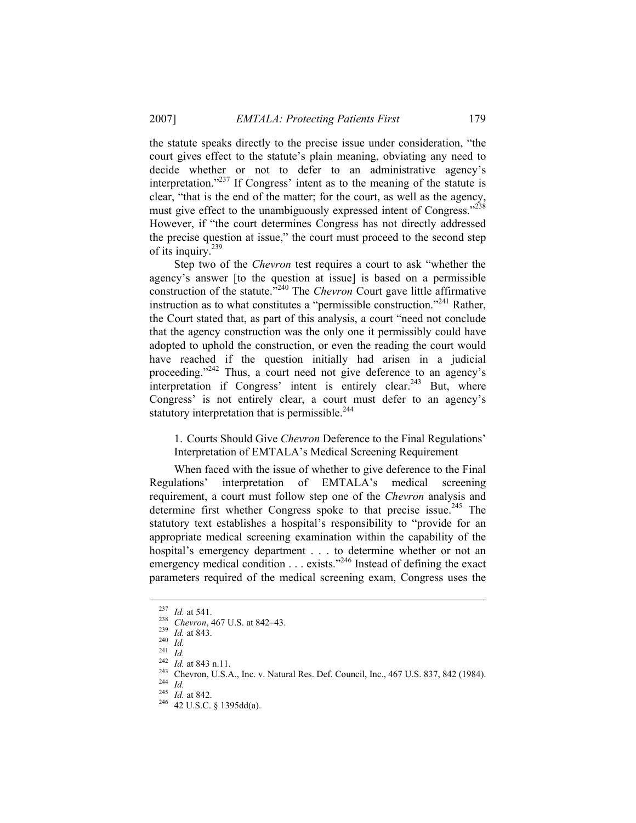the statute speaks directly to the precise issue under consideration, "the court gives effect to the statute's plain meaning, obviating any need to decide whether or not to defer to an administrative agency's interpretation."237 If Congress' intent as to the meaning of the statute is clear, "that is the end of the matter; for the court, as well as the agency, must give effect to the unambiguously expressed intent of Congress."<sup>238</sup> However, if "the court determines Congress has not directly addressed the precise question at issue," the court must proceed to the second step of its inquiry. $239$ 

Step two of the *Chevron* test requires a court to ask "whether the agency's answer [to the question at issue] is based on a permissible construction of the statute.<sup>3240</sup> The *Chevron* Court gave little affirmative instruction as to what constitutes a "permissible construction."241 Rather, the Court stated that, as part of this analysis, a court "need not conclude that the agency construction was the only one it permissibly could have adopted to uphold the construction, or even the reading the court would have reached if the question initially had arisen in a judicial proceeding."<sup>242</sup> Thus, a court need not give deference to an agency's interpretation if Congress' intent is entirely clear.<sup>243</sup> But, where Congress' is not entirely clear, a court must defer to an agency's statutory interpretation that is permissible. $244$ 

1. Courts Should Give *Chevron* Deference to the Final Regulations' Interpretation of EMTALA's Medical Screening Requirement

When faced with the issue of whether to give deference to the Final Regulations' interpretation of EMTALA's medical screening requirement, a court must follow step one of the *Chevron* analysis and determine first whether Congress spoke to that precise issue.<sup>245</sup> The statutory text establishes a hospital's responsibility to "provide for an appropriate medical screening examination within the capability of the hospital's emergency department . . . to determine whether or not an emergency medical condition  $\ldots$  exists."<sup>246</sup> Instead of defining the exact parameters required of the medical screening exam, Congress uses the

<sup>&</sup>lt;sup>237</sup> *Id.* at 541.<br>
<sup>238</sup> *Chevron*, 467 U.S. at 842–43.<br>
<sup>239</sup> *Id.* at 843.<br>
<sup>240</sup> *Id.*<br>
<sup>241</sup> *Id.*<br>
<sup>242</sup> *Id.* at 843 n.11.<br>
<sup>242</sup> *Id.* at 843 n.11.<br>
<sup>243</sup> *Chevron, U.S.A.*, Inc. v. Natural Res. Def. Council, Inc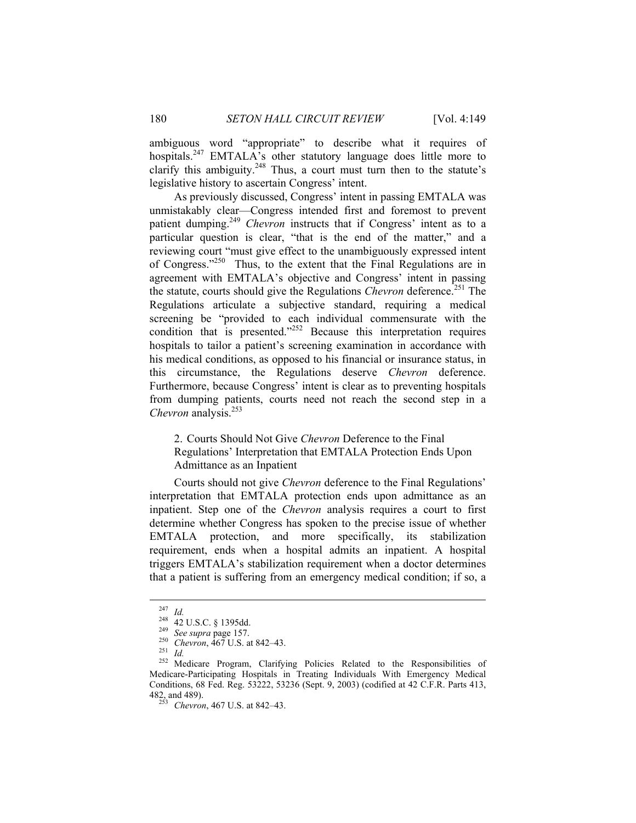ambiguous word "appropriate" to describe what it requires of hospitals.<sup>247</sup> EMTALA's other statutory language does little more to clarify this ambiguity.<sup>248</sup> Thus, a court must turn then to the statute's legislative history to ascertain Congress' intent.

As previously discussed, Congress' intent in passing EMTALA was unmistakably clear—Congress intended first and foremost to prevent patient dumping.<sup>249</sup> *Chevron* instructs that if Congress' intent as to a particular question is clear, "that is the end of the matter," and a reviewing court "must give effect to the unambiguously expressed intent of Congress."250 Thus, to the extent that the Final Regulations are in agreement with EMTALA's objective and Congress' intent in passing the statute, courts should give the Regulations *Chevron* deference.<sup>251</sup> The Regulations articulate a subjective standard, requiring a medical screening be "provided to each individual commensurate with the condition that is presented."<sup>252</sup> Because this interpretation requires hospitals to tailor a patient's screening examination in accordance with his medical conditions, as opposed to his financial or insurance status, in this circumstance, the Regulations deserve *Chevron* deference. Furthermore, because Congress' intent is clear as to preventing hospitals from dumping patients, courts need not reach the second step in a *Chevron* analysis.253

2. Courts Should Not Give *Chevron* Deference to the Final Regulations' Interpretation that EMTALA Protection Ends Upon Admittance as an Inpatient

Courts should not give *Chevron* deference to the Final Regulations' interpretation that EMTALA protection ends upon admittance as an inpatient. Step one of the *Chevron* analysis requires a court to first determine whether Congress has spoken to the precise issue of whether EMTALA protection, and more specifically, its stabilization requirement, ends when a hospital admits an inpatient. A hospital triggers EMTALA's stabilization requirement when a doctor determines that a patient is suffering from an emergency medical condition; if so, a

<sup>&</sup>lt;sup>247</sup> *Id.*<br>
<sup>248</sup> 42 U.S.C. § 1395dd.<br>
<sup>249</sup> See supra page 157.<br>
<sup>250</sup> Chevron, 467 U.S. at 842–43.<br>
<sup>251</sup> *Id.*<br>
<sup>252</sup> Medicare Program, Clarifying Policies Related to the Responsibilities of Medicare-Participating Hospitals in Treating Individuals With Emergency Medical Conditions, 68 Fed. Reg. 53222, 53236 (Sept. 9, 2003) (codified at 42 C.F.R. Parts 413, 482, and 489). 253 *Chevron*, 467 U.S. at 842–43.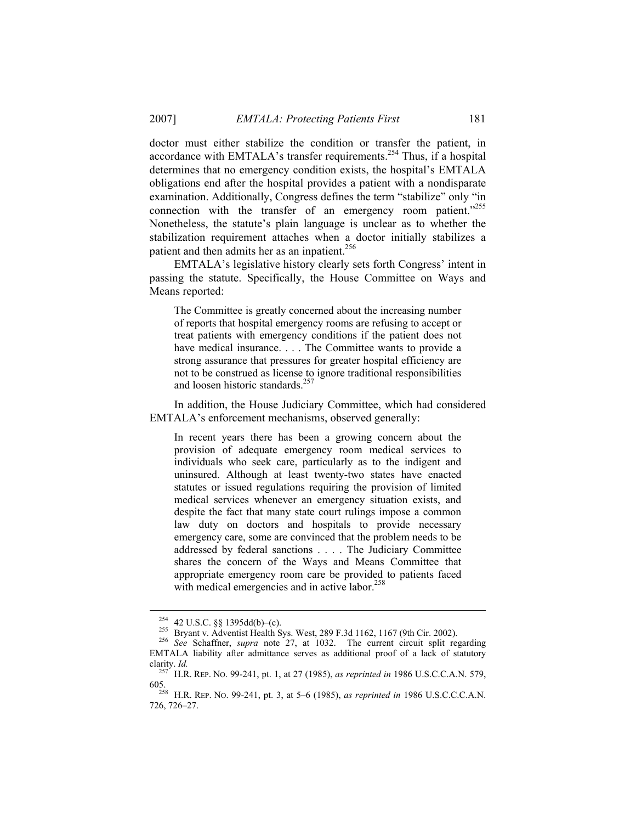doctor must either stabilize the condition or transfer the patient, in accordance with EMTALA's transfer requirements.<sup>254</sup> Thus, if a hospital determines that no emergency condition exists, the hospital's EMTALA obligations end after the hospital provides a patient with a nondisparate examination. Additionally, Congress defines the term "stabilize" only "in connection with the transfer of an emergency room patient."255 Nonetheless, the statute's plain language is unclear as to whether the stabilization requirement attaches when a doctor initially stabilizes a patient and then admits her as an inpatient.<sup>256</sup>

EMTALA's legislative history clearly sets forth Congress' intent in passing the statute. Specifically, the House Committee on Ways and Means reported:

The Committee is greatly concerned about the increasing number of reports that hospital emergency rooms are refusing to accept or treat patients with emergency conditions if the patient does not have medical insurance. . . . The Committee wants to provide a strong assurance that pressures for greater hospital efficiency are not to be construed as license to ignore traditional responsibilities and loosen historic standards.<sup>257</sup>

In addition, the House Judiciary Committee, which had considered EMTALA's enforcement mechanisms, observed generally:

In recent years there has been a growing concern about the provision of adequate emergency room medical services to individuals who seek care, particularly as to the indigent and uninsured. Although at least twenty-two states have enacted statutes or issued regulations requiring the provision of limited medical services whenever an emergency situation exists, and despite the fact that many state court rulings impose a common law duty on doctors and hospitals to provide necessary emergency care, some are convinced that the problem needs to be addressed by federal sanctions . . . . The Judiciary Committee shares the concern of the Ways and Means Committee that appropriate emergency room care be provided to patients faced with medical emergencies and in active labor.<sup>258</sup>

 <sup>254 42</sup> U.S.C. §§ 1395dd(b)–(c). 255 Bryant v. Adventist Health Sys. West, 289 F.3d 1162, 1167 (9th Cir. 2002). 256 *See* Schaffner, *supra* note 27, at 1032. The current circuit split regarding EMTALA liability after admittance serves as additional proof of a lack of statutory clarity. *Id.* 257 H.R. REP. NO. 99-241, pt. 1, at 27 (1985), *as reprinted in* 1986 U.S.C.C.A.N. 579,

<sup>605. 258</sup> H.R. REP. NO. 99-241, pt. 3, at 5–6 (1985), *as reprinted in* 1986 U.S.C.C.C.A.N. 726, 726–27.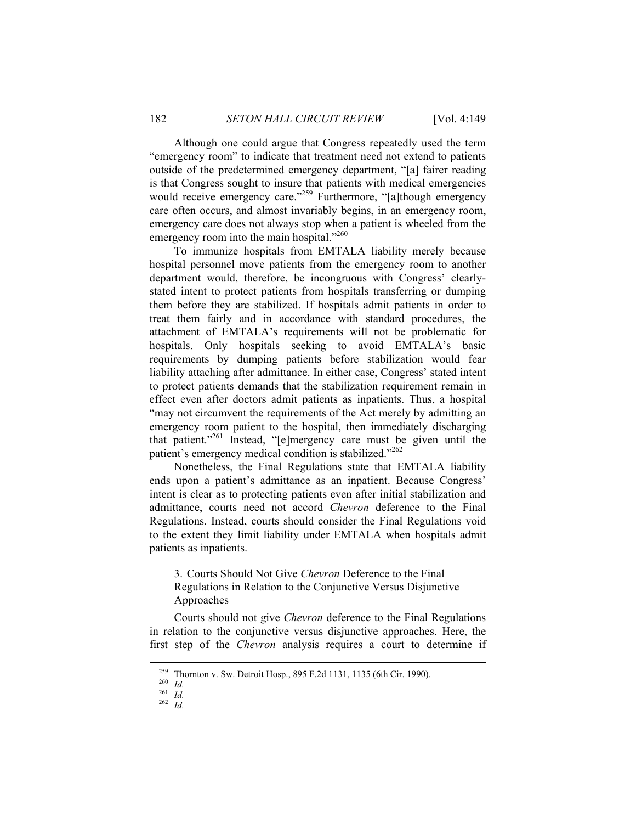Although one could argue that Congress repeatedly used the term "emergency room" to indicate that treatment need not extend to patients outside of the predetermined emergency department, "[a] fairer reading is that Congress sought to insure that patients with medical emergencies would receive emergency care."<sup>259</sup> Furthermore, "[a]though emergency care often occurs, and almost invariably begins, in an emergency room, emergency care does not always stop when a patient is wheeled from the emergency room into the main hospital."<sup>260</sup>

To immunize hospitals from EMTALA liability merely because hospital personnel move patients from the emergency room to another department would, therefore, be incongruous with Congress' clearlystated intent to protect patients from hospitals transferring or dumping them before they are stabilized. If hospitals admit patients in order to treat them fairly and in accordance with standard procedures, the attachment of EMTALA's requirements will not be problematic for hospitals. Only hospitals seeking to avoid EMTALA's basic requirements by dumping patients before stabilization would fear liability attaching after admittance. In either case, Congress' stated intent to protect patients demands that the stabilization requirement remain in effect even after doctors admit patients as inpatients. Thus, a hospital "may not circumvent the requirements of the Act merely by admitting an emergency room patient to the hospital, then immediately discharging that patient."<sup>261</sup> Instead, "[e]mergency care must be given until the patient's emergency medical condition is stabilized."<sup>262</sup>

Nonetheless, the Final Regulations state that EMTALA liability ends upon a patient's admittance as an inpatient. Because Congress' intent is clear as to protecting patients even after initial stabilization and admittance, courts need not accord *Chevron* deference to the Final Regulations. Instead, courts should consider the Final Regulations void to the extent they limit liability under EMTALA when hospitals admit patients as inpatients.

3. Courts Should Not Give *Chevron* Deference to the Final Regulations in Relation to the Conjunctive Versus Disjunctive Approaches

Courts should not give *Chevron* deference to the Final Regulations in relation to the conjunctive versus disjunctive approaches. Here, the first step of the *Chevron* analysis requires a court to determine if

 <sup>259</sup> Thornton v. Sw. Detroit Hosp., 895 F.2d 1131, 1135 (6th Cir. 1990). 260 *Id.* <sup>261</sup> *Id.* <sup>262</sup> *Id.*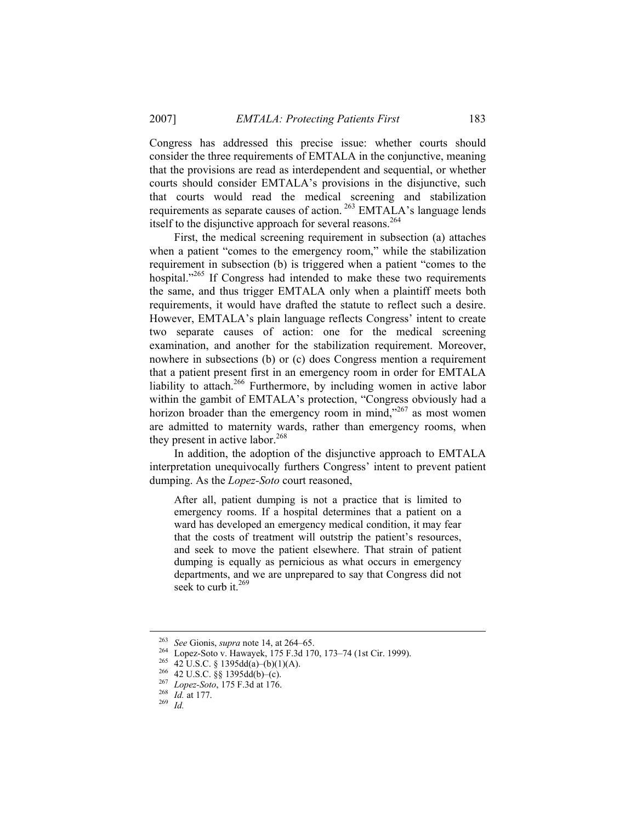Congress has addressed this precise issue: whether courts should consider the three requirements of EMTALA in the conjunctive, meaning that the provisions are read as interdependent and sequential, or whether courts should consider EMTALA's provisions in the disjunctive, such that courts would read the medical screening and stabilization requirements as separate causes of action. 263 EMTALA's language lends itself to the disjunctive approach for several reasons.<sup>264</sup>

First, the medical screening requirement in subsection (a) attaches when a patient "comes to the emergency room," while the stabilization requirement in subsection (b) is triggered when a patient "comes to the hospital."<sup>265</sup> If Congress had intended to make these two requirements the same, and thus trigger EMTALA only when a plaintiff meets both requirements, it would have drafted the statute to reflect such a desire. However, EMTALA's plain language reflects Congress' intent to create two separate causes of action: one for the medical screening examination, and another for the stabilization requirement. Moreover, nowhere in subsections (b) or (c) does Congress mention a requirement that a patient present first in an emergency room in order for EMTALA liability to attach.<sup>266</sup> Furthermore, by including women in active labor within the gambit of EMTALA's protection, "Congress obviously had a horizon broader than the emergency room in mind,"267 as most women are admitted to maternity wards, rather than emergency rooms, when they present in active labor.<sup>268</sup>

In addition, the adoption of the disjunctive approach to EMTALA interpretation unequivocally furthers Congress' intent to prevent patient dumping. As the *Lopez-Soto* court reasoned,

After all, patient dumping is not a practice that is limited to emergency rooms. If a hospital determines that a patient on a ward has developed an emergency medical condition, it may fear that the costs of treatment will outstrip the patient's resources, and seek to move the patient elsewhere. That strain of patient dumping is equally as pernicious as what occurs in emergency departments, and we are unprepared to say that Congress did not seek to curb it.<sup>269</sup>

<sup>&</sup>lt;sup>263</sup> See Gionis, *supra* note 14, at 264–65.<br>
<sup>264</sup> Lopez-Soto v. Hawayek, 175 F.3d 170, 173–74 (1st Cir. 1999).<br>
<sup>265</sup> 42 U.S.C. § 1395dd(a)–(b)(1)(A).<br>
<sup>266</sup> 42 U.S.C. §§ 1395dd(b)–(c).<br>
<sup>267</sup> Lopez-Soto, 175 F.3d at 1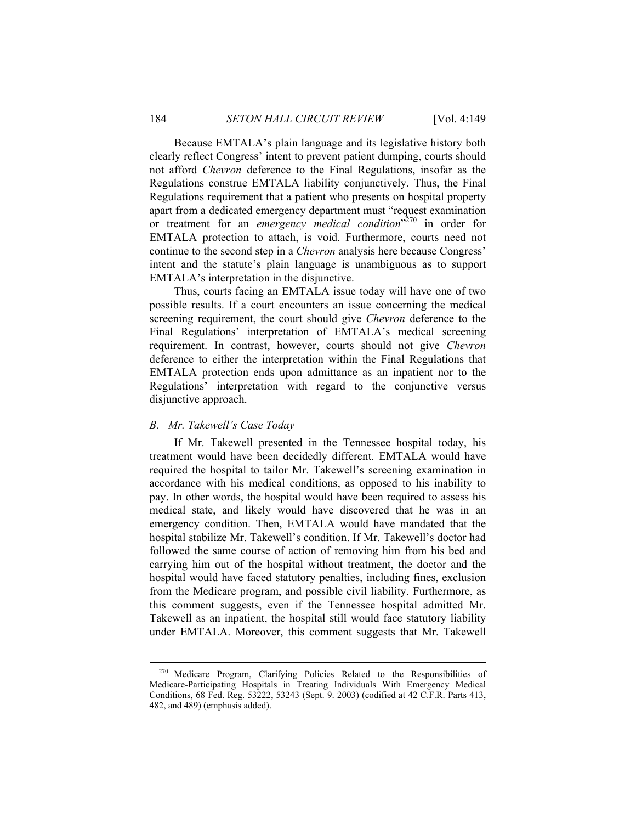Because EMTALA's plain language and its legislative history both clearly reflect Congress' intent to prevent patient dumping, courts should not afford *Chevron* deference to the Final Regulations, insofar as the Regulations construe EMTALA liability conjunctively. Thus, the Final Regulations requirement that a patient who presents on hospital property apart from a dedicated emergency department must "request examination or treatment for an *emergency medical condition*<sup>370</sup> in order for EMTALA protection to attach, is void. Furthermore, courts need not continue to the second step in a *Chevron* analysis here because Congress' intent and the statute's plain language is unambiguous as to support EMTALA's interpretation in the disjunctive.

Thus, courts facing an EMTALA issue today will have one of two possible results. If a court encounters an issue concerning the medical screening requirement, the court should give *Chevron* deference to the Final Regulations' interpretation of EMTALA's medical screening requirement. In contrast, however, courts should not give *Chevron* deference to either the interpretation within the Final Regulations that EMTALA protection ends upon admittance as an inpatient nor to the Regulations' interpretation with regard to the conjunctive versus disjunctive approach.

# *B. Mr. Takewell's Case Today*

If Mr. Takewell presented in the Tennessee hospital today, his treatment would have been decidedly different. EMTALA would have required the hospital to tailor Mr. Takewell's screening examination in accordance with his medical conditions, as opposed to his inability to pay. In other words, the hospital would have been required to assess his medical state, and likely would have discovered that he was in an emergency condition. Then, EMTALA would have mandated that the hospital stabilize Mr. Takewell's condition. If Mr. Takewell's doctor had followed the same course of action of removing him from his bed and carrying him out of the hospital without treatment, the doctor and the hospital would have faced statutory penalties, including fines, exclusion from the Medicare program, and possible civil liability. Furthermore, as this comment suggests, even if the Tennessee hospital admitted Mr. Takewell as an inpatient, the hospital still would face statutory liability under EMTALA. Moreover, this comment suggests that Mr. Takewell

 <sup>270</sup> Medicare Program, Clarifying Policies Related to the Responsibilities of Medicare-Participating Hospitals in Treating Individuals With Emergency Medical Conditions, 68 Fed. Reg. 53222, 53243 (Sept. 9. 2003) (codified at 42 C.F.R. Parts 413, 482, and 489) (emphasis added).